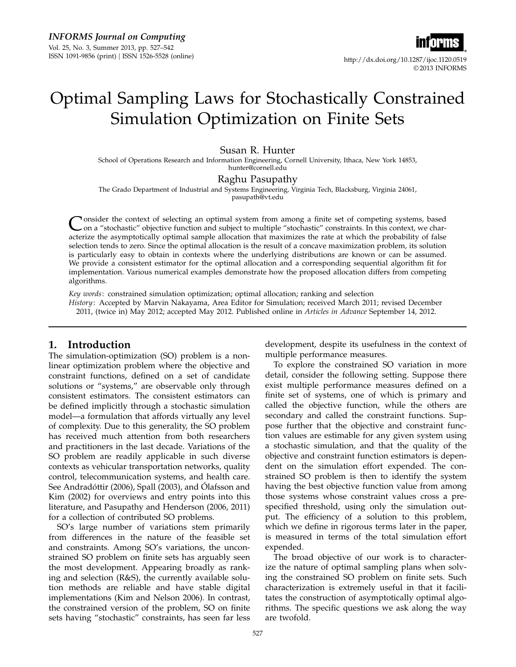

© 2013 INFORMS

# Optimal Sampling Laws for Stochastically Constrained Simulation Optimization on Finite Sets

### Susan R. Hunter

School of Operations Research and Information Engineering, Cornell University, Ithaca, New York 14853, hunter@cornell.edu

#### Raghu Pasupathy

The Grado Department of Industrial and Systems Engineering, Virginia Tech, Blacksburg, Virginia 24061, pasupath@vt.edu

Consider the context of selecting an optimal system from among a finite set of competing systems, based<br>on a "stochastic" objective function and subject to multiple "stochastic" constraints. In this context, we char-<br>acter **Ponsider the context of selecting an optimal system from among a finite set of competing systems, based** on a "stochastic" objective function and subject to multiple "stochastic" constraints. In this context, we charselection tends to zero. Since the optimal allocation is the result of a concave maximization problem, its solution is particularly easy to obtain in contexts where the underlying distributions are known or can be assumed. We provide a consistent estimator for the optimal allocation and a corresponding sequential algorithm fit for implementation. Various numerical examples demonstrate how the proposed allocation differs from competing algorithms.

Key words: constrained simulation optimization; optimal allocation; ranking and selection History: Accepted by Marvin Nakayama, Area Editor for Simulation; received March 2011; revised December 2011, (twice in) May 2012; accepted May 2012. Published online in Articles in Advance September 14, 2012.

### 1. Introduction

The simulation-optimization (SO) problem is a nonlinear optimization problem where the objective and constraint functions, defined on a set of candidate solutions or "systems," are observable only through consistent estimators. The consistent estimators can be defined implicitly through a stochastic simulation model—a formulation that affords virtually any level of complexity. Due to this generality, the SO problem has received much attention from both researchers and practitioners in the last decade. Variations of the SO problem are readily applicable in such diverse contexts as vehicular transportation networks, quality control, telecommunication systems, and health care. See Andradóttir (2006), Spall (2003), and Ólafsson and Kim (2002) for overviews and entry points into this literature, and Pasupathy and Henderson (2006, 2011) for a collection of contributed SO problems.

SO's large number of variations stem primarily from differences in the nature of the feasible set and constraints. Among SO's variations, the unconstrained SO problem on finite sets has arguably seen the most development. Appearing broadly as ranking and selection (R&S), the currently available solution methods are reliable and have stable digital implementations (Kim and Nelson 2006). In contrast, the constrained version of the problem, SO on finite sets having "stochastic" constraints, has seen far less

development, despite its usefulness in the context of multiple performance measures.

To explore the constrained SO variation in more detail, consider the following setting. Suppose there exist multiple performance measures defined on a finite set of systems, one of which is primary and called the objective function, while the others are secondary and called the constraint functions. Suppose further that the objective and constraint function values are estimable for any given system using a stochastic simulation, and that the quality of the objective and constraint function estimators is dependent on the simulation effort expended. The constrained SO problem is then to identify the system having the best objective function value from among those systems whose constraint values cross a prespecified threshold, using only the simulation output. The efficiency of a solution to this problem, which we define in rigorous terms later in the paper, is measured in terms of the total simulation effort expended.

The broad objective of our work is to characterize the nature of optimal sampling plans when solving the constrained SO problem on finite sets. Such characterization is extremely useful in that it facilitates the construction of asymptotically optimal algorithms. The specific questions we ask along the way are twofold.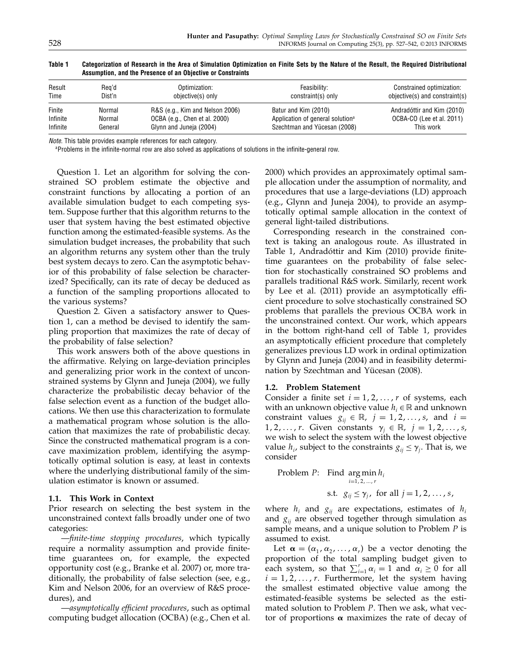| Result   | Reg'd   | Optimization:                   | Feasibility:                                 | Constrained optimization:      |
|----------|---------|---------------------------------|----------------------------------------------|--------------------------------|
| Time     | Dist'n  | objective(s) only               | constraint(s) only                           | objective(s) and constraint(s) |
| Finite   | Normal  | R&S (e.g., Kim and Nelson 2006) | Batur and Kim (2010)                         | Andradóttir and Kim (2010)     |
| Infinite | Normal  | OCBA (e.g., Chen et al. 2000)   | Application of general solution <sup>a</sup> | OCBA-CO (Lee et al. 2011)      |
| Infinite | General | Glynn and Juneja (2004)         | Szechtman and Yücesan (2008)                 | This work                      |

Table 1 Categorization of Research in the Area of Simulation Optimization on Finite Sets by the Nature of the Result, the Required Distributional Assumption, and the Presence of an Objective or Constraints

Note. This table provides example references for each category.

<sup>a</sup>Problems in the infinite-normal row are also solved as applications of solutions in the infinite-general row.

Question 1. Let an algorithm for solving the constrained SO problem estimate the objective and constraint functions by allocating a portion of an available simulation budget to each competing system. Suppose further that this algorithm returns to the user that system having the best estimated objective function among the estimated-feasible systems. As the simulation budget increases, the probability that such an algorithm returns any system other than the truly best system decays to zero. Can the asymptotic behavior of this probability of false selection be characterized? Specifically, can its rate of decay be deduced as a function of the sampling proportions allocated to the various systems?

Question 2. Given a satisfactory answer to Question 1, can a method be devised to identify the sampling proportion that maximizes the rate of decay of the probability of false selection?

This work answers both of the above questions in the affirmative. Relying on large-deviation principles and generalizing prior work in the context of unconstrained systems by Glynn and Juneja (2004), we fully characterize the probabilistic decay behavior of the false selection event as a function of the budget allocations. We then use this characterization to formulate a mathematical program whose solution is the allocation that maximizes the rate of probabilistic decay. Since the constructed mathematical program is a concave maximization problem, identifying the asymptotically optimal solution is easy, at least in contexts where the underlying distributional family of the simulation estimator is known or assumed.

#### 1.1. This Work in Context

Prior research on selecting the best system in the unconstrained context falls broadly under one of two categories:

—finite-time stopping procedures, which typically require a normality assumption and provide finitetime guarantees on, for example, the expected opportunity cost (e.g., Branke et al. 2007) or, more traditionally, the probability of false selection (see, e.g., Kim and Nelson 2006, for an overview of R&S procedures), and

—asymptotically efficient procedures, such as optimal computing budget allocation (OCBA) (e.g., Chen et al. 2000) which provides an approximately optimal sample allocation under the assumption of normality, and procedures that use a large-deviations (LD) approach (e.g., Glynn and Juneja 2004), to provide an asymptotically optimal sample allocation in the context of general light-tailed distributions.

Corresponding research in the constrained context is taking an analogous route. As illustrated in Table 1, Andradóttir and Kim (2010) provide finitetime guarantees on the probability of false selection for stochastically constrained SO problems and parallels traditional R&S work. Similarly, recent work by Lee et al. (2011) provide an asymptotically efficient procedure to solve stochastically constrained SO problems that parallels the previous OCBA work in the unconstrained context. Our work, which appears in the bottom right-hand cell of Table 1, provides an asymptotically efficient procedure that completely generalizes previous LD work in ordinal optimization by Glynn and Juneja (2004) and in feasibility determination by Szechtman and Yücesan (2008).

#### 1.2. Problem Statement

Consider a finite set  $i = 1, 2, \dots, r$  of systems, each with an unknown objective value  $h_i \in \mathbb{R}$  and unknown constraint values  $g_{ij} \in \mathbb{R}$ ,  $j = 1, 2, \ldots, s$ , and  $i =$ 1, 2, ..., r. Given constants  $\gamma_i \in \mathbb{R}$ ,  $j = 1, 2, ..., s$ , we wish to select the system with the lowest objective value  $h_i$ , subject to the constraints  $g_{ij} \leq \gamma_j$ . That is, we consider

Problem P: Find 
$$
\underset{i=1,2,\dots,r}{\arg \min h_i}
$$
  
s.t.  $g_{ij} \le \gamma_j$ , for all  $j = 1, 2, \dots, s$ ,

where  $h_i$  and  $g_{ij}$  are expectations, estimates of  $h_i$ and  $g_{ii}$  are observed together through simulation as sample means, and a unique solution to Problem  $P$  is assumed to exist.

Let  $\boldsymbol{\alpha} = (\alpha_1, \alpha_2, \dots, \alpha_r)$  be a vector denoting the proportion of the total sampling budget given to each system, so that  $\sum_{i=1}^{r} \alpha_i = 1$  and  $\alpha_i \ge 0$  for all  $i = 1, 2, \ldots, r$ . Furthermore, let the system having the smallest estimated objective value among the estimated-feasible systems be selected as the estimated solution to Problem P. Then we ask, what vector of proportions  $\alpha$  maximizes the rate of decay of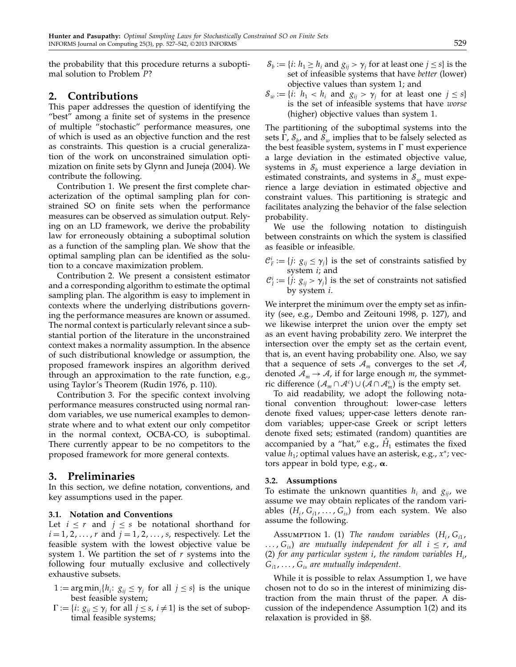the probability that this procedure returns a suboptimal solution to Problem P?

### 2. Contributions

This paper addresses the question of identifying the "best" among a finite set of systems in the presence of multiple "stochastic" performance measures, one of which is used as an objective function and the rest as constraints. This question is a crucial generalization of the work on unconstrained simulation optimization on finite sets by Glynn and Juneja (2004). We contribute the following.

Contribution 1. We present the first complete characterization of the optimal sampling plan for constrained SO on finite sets when the performance measures can be observed as simulation output. Relying on an LD framework, we derive the probability law for erroneously obtaining a suboptimal solution as a function of the sampling plan. We show that the optimal sampling plan can be identified as the solution to a concave maximization problem.

Contribution 2. We present a consistent estimator and a corresponding algorithm to estimate the optimal sampling plan. The algorithm is easy to implement in contexts where the underlying distributions governing the performance measures are known or assumed. The normal context is particularly relevant since a substantial portion of the literature in the unconstrained context makes a normality assumption. In the absence of such distributional knowledge or assumption, the proposed framework inspires an algorithm derived through an approximation to the rate function, e.g., using Taylor's Theorem (Rudin 1976, p. 110).

Contribution 3. For the specific context involving performance measures constructed using normal random variables, we use numerical examples to demonstrate where and to what extent our only competitor in the normal context, OCBA-CO, is suboptimal. There currently appear to be no competitors to the proposed framework for more general contexts.

### 3. Preliminaries

In this section, we define notation, conventions, and key assumptions used in the paper.

### 3.1. Notation and Conventions

Let  $i \leq r$  and  $j \leq s$  be notational shorthand for  $i = 1, 2, \ldots, r$  and  $j = 1, 2, \ldots, s$ , respectively. Let the feasible system with the lowest objective value be system 1. We partition the set of  $r$  systems into the following four mutually exclusive and collectively exhaustive subsets.

- $1 := \arg \min_i \{ h_i : g_{ij} \leq \gamma_j \}$  for all  $j \leq s$  is the unique best feasible system;
- $\Gamma \coloneqq \{i: g_{ij} \leq \gamma_j \text{ for all } j \leq s, i \neq 1\}$  is the set of suboptimal feasible systems;
- $\mathcal{S}_b := \{i: h_1 \geq h_i \text{ and } g_{ij} > \gamma_j \text{ for at least one } j \leq s\}$  is the set of infeasible systems that have better (lower) objective values than system 1; and
- $\mathcal{S}_w := \{i: h_1 < h_i \text{ and } g_{ij} > \gamma_j \text{ for at least one } j \leq s\}$ is the set of infeasible systems that have worse (higher) objective values than system 1.

The partitioning of the suboptimal systems into the sets  $\Gamma$ ,  ${\mathcal S}_b$ , and  ${\mathcal S}_w$  implies that to be falsely selected as the best feasible system, systems in  $\Gamma$  must experience a large deviation in the estimated objective value, systems in  $S_b$  must experience a large deviation in estimated constraints, and systems in  $\mathcal{S}_w$  must experience a large deviation in estimated objective and constraint values. This partitioning is strategic and facilitates analyzing the behavior of the false selection probability.

We use the following notation to distinguish between constraints on which the system is classified as feasible or infeasible.

- $\mathcal{C}_F^i := \{j: g_{ij} \leq \gamma_j\}$  is the set of constraints satisfied by system i; and
- $C_l^i := \{j: g_{ij} > \gamma_j\}$  is the set of constraints not satisfied by system i.

We interpret the minimum over the empty set as infinity (see, e.g., Dembo and Zeitouni 1998, p. 127), and we likewise interpret the union over the empty set as an event having probability zero. We interpret the intersection over the empty set as the certain event, that is, an event having probability one. Also, we say that a sequence of sets  $\mathcal{A}_m$  converges to the set  $\mathcal{A}_r$ , denoted  $A_m \rightarrow A$ , if for large enough *m*, the symmetric difference  $(\mathcal{A}_m \cap \mathcal{A}^c) \cup (\mathcal{A} \cap \mathcal{A}^c_m)$  is the empty set.

To aid readability, we adopt the following notational convention throughout: lower-case letters denote fixed values; upper-case letters denote random variables; upper-case Greek or script letters denote fixed sets; estimated (random) quantities are accompanied by a "hat," e.g.,  $\hat{H}_1$  estimates the fixed value  $h_1$ ; optimal values have an asterisk, e.g.,  $x^*$ ; vectors appear in bold type, e.g.,  $\alpha$ .

### 3.2. Assumptions

To estimate the unknown quantities  $h_i$  and  $g_{ii}$ , we assume we may obtain replicates of the random variables  $(H_i, G_{i1},..., G_{is})$  from each system. We also assume the following.

Assumption 1. (1) The random variables  $(H_i, G_{i1},$  $(0, \ldots, G_{is})$  are mutually independent for all  $i \leq r$ , and (2) for any particular system i, the random variables  $H_i$ ,  $G_{i1}$ ,  $\dots$ ,  $G_{is}$  are mutually independent.

While it is possible to relax Assumption 1, we have chosen not to do so in the interest of minimizing distraction from the main thrust of the paper. A discussion of the independence Assumption 1(2) and its relaxation is provided in §8.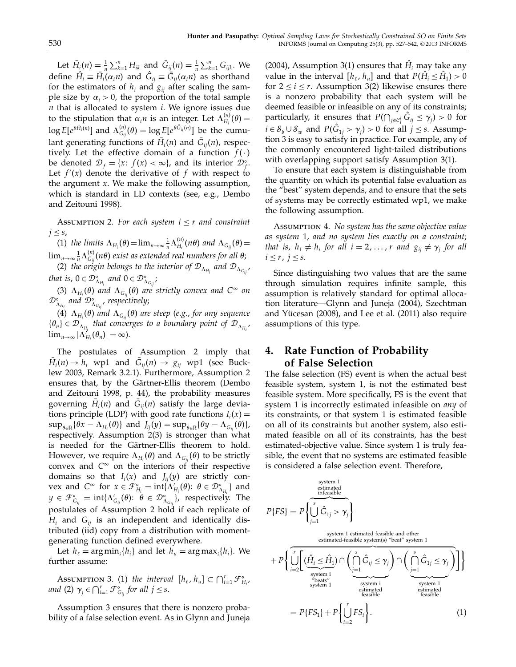Let  $\bar{H}_i(n) = \frac{1}{n} \sum_{k=1}^n H_{ik}$  and  $\bar{G}_{ij}(n) = \frac{1}{n} \sum_{k=1}^n G_{ijk}$ . We define  $\hat{H}_i \equiv \bar{H}_i(\alpha_i n)$  and  $\hat{G}_{ij} \equiv \tilde{G}_{ij}(\alpha_i n)$  as shorthand for the estimators of  $h_i$  and  $g_{ij}$  after scaling the sample size by  $\alpha_i > 0$ , the proportion of the total sample  $n$  that is allocated to system  $i$ . We ignore issues due to the stipulation that  $\alpha_i n$  is an integer. Let  $\Lambda_{H_i}^{(n)}(\theta) =$  $\log E[e^{\theta \tilde{H}_i(n)}]$  and  $\Lambda_{G_{ij}}^{(n)}(\theta) = \log E[e^{\theta \tilde{G}_{ij}(n)}]$  be the cumulant generating functions of  $\bar{H}_{i}(n)$  and  $\bar{G}_{ij}(n)$ , respectively. Let the effective domain of a function  $f(\cdot)$ be denoted  $\mathcal{D}_f = \{x: f(x) < \infty\}$ , and its interior  $\mathcal{D}_f^{\circ}$ . Let  $f'(x)$  denote the derivative of f with respect to the argument  $x$ . We make the following assumption, which is standard in LD contexts (see, e.g., Dembo and Zeitouni 1998).

ASSUMPTION 2. For each system  $i \leq r$  and constraint  $j \leq s$ ,

(1) the limits  $\Lambda_{H_i}(\theta) = \lim_{n \to \infty} \frac{1}{n} \Lambda_{H_i}^{(n)}(n\theta)$  and  $\Lambda_{G_{ij}}(\theta) =$  $\lim_{n\to\infty}\frac{1}{n}\Lambda^{(n)}_{G_{ij}}(n\theta)$  exist as extended real numbers for all  $\theta$ ;

(2) the origin belongs to the interior of  ${\cal D}_{\Lambda_{H_i}}$  and  ${\cal D}_{\Lambda_{G_{i j}}}$ , that is,  $0 \in \mathcal{D}^{\circ}_{\Lambda_{H_i}}$  and  $0 \in \mathcal{D}^{\circ}_{\Lambda_{G_{ij}}}$ ;

(3)  $\Lambda_{H_i}(\theta)$  and  $\Lambda_{G_{ij}}(\theta)$  are strictly convex and  $C^{\infty}$  on  $\mathcal{D}^{\circ}_{\Lambda_{H_{i}}}$  and  $\mathcal{D}^{\circ}_{\Lambda_{G_{i j}}}$ , respectively;

(4)  $\Lambda_{H_{i}}(\theta)$  and  $\Lambda_{G_{ij}}(\theta)$  are steep (e.g., for any sequence  $\{\theta_n\}\in \mathcal{D}_{\Lambda_{H_i}}$  that converges to a boundary point of  $\mathcal{D}_{\Lambda_{H_i}}$ ,  $\lim_{n\to\infty}|\Lambda'_{H_i}(\theta_n)|=\infty$ ).

The postulates of Assumption 2 imply that  $\bar{H}_i(n) \rightarrow h_i$  wp1 and  $\bar{G}_{ij}(n) \rightarrow g_{ij}$  wp1 (see Bucklew 2003, Remark 3.2.1). Furthermore, Assumption 2 ensures that, by the Gärtner-Ellis theorem (Dembo and Zeitouni 1998, p. 44), the probability measures governing  $\bar{H}_i(n)$  and  $\bar{G}_{ij}(n)$  satisfy the large deviations principle (LDP) with good rate functions  $I_i(x) =$  $\sup_{\theta \in \mathbb{R}} \{\theta x - \Lambda_{H_i}(\theta)\}$  and  $J_{ij}(y) = \sup_{\theta \in \mathbb{R}} \{\theta y - \Lambda_{G_{ij}}(\theta)\},$ respectively. Assumption 2(3) is stronger than what is needed for the Gärtner-Ellis theorem to hold. However, we require  $\Lambda_{H_i}(\theta)$  and  $\Lambda_{G_{ij}}(\theta)$  to be strictly convex and  $C^{\infty}$  on the interiors of their respective domains so that  $I_i(x)$  and  $J_{ij}(y)$  are strictly convex and  $C^{\infty}$  for  $x \in \mathcal{F}_{H_i}^{\circ} = \text{int} \{ \Lambda'_{H_i}(\theta) : \theta \in \mathcal{D}_{\Lambda_{H_i}}^{\circ} \}$  and  $y\in {\mathcal F}^\circ_{G_{ij}}=\rm{int}\{\Lambda}'_{G_{ij}}(\theta)\colon \ \theta\in {\mathcal D}^\circ_{\Lambda_{G_{ij}}}\},\ \text{respectively.}$  The postulates of Assumption 2 hold if each replicate of  $H_i$  and  $G_{ii}$  is an independent and identically distributed (iid) copy from a distribution with momentgenerating function defined everywhere.

Let  $h_{\ell} = \arg \min_i \{h_i\}$  and let  $h_u = \arg \max_i \{h_i\}$ . We further assume:

ASSUMPTION 3. (1) the interval  $[h_\ell, h_u] \subset \bigcap_{i=1}^r \mathcal{F}_{H_i}^{\circ}$ and (2)  $\gamma_j \in \bigcap_{i=1}^r {\mathcal F}^\circ_{G_{ij}}$  for all  $j \leq s$ .

Assumption 3 ensures that there is nonzero probability of a false selection event. As in Glynn and Juneja

(2004), Assumption 3(1) ensures that  $\hat{H}_i$  may take any value in the interval  $[h_\ell, h_u]$  and that  $P(\hat{H}_i \leq \hat{H}_1) > 0$ for  $2 \le i \le r$ . Assumption 3(2) likewise ensures there is a nonzero probability that each system will be deemed feasible or infeasible on any of its constraints; particularly, it ensures that  $P(\bigcap_{j \in \mathcal{C}_i^i} \hat{G}_{ij} \leq \gamma_j) > 0$  for  $i \in S_b \cup S_w$  and  $P(\hat{G}_{1j} > \gamma_j) > 0$  for all  $j \leq s$ . Assumption 3 is easy to satisfy in practice. For example, any of the commonly encountered light-tailed distributions with overlapping support satisfy Assumption 3(1).

To ensure that each system is distinguishable from the quantity on which its potential false evaluation as the "best" system depends, and to ensure that the sets of systems may be correctly estimated wp1, we make the following assumption.

Assumption 4. No system has the same objective value as system 1, and no system lies exactly on a constraint; that is,  $h_1\neq h_i$  for all  $i=2,\,\ldots,r$  and  $g_{ij}\neq \gamma_j$  for all  $i \leq r, j \leq s.$ 

Since distinguishing two values that are the same through simulation requires infinite sample, this assumption is relatively standard for optimal allocation literature—Glynn and Juneja (2004), Szechtman and Yücesan (2008), and Lee et al. (2011) also require assumptions of this type.

### 4. Rate Function of Probability of False Selection

The false selection (FS) event is when the actual best feasible system, system 1, is not the estimated best feasible system. More specifically, FS is the event that system 1 is incorrectly estimated infeasible on any of its constraints, or that system 1 is estimated feasible on all of its constraints but another system, also estimated feasible on all of its constraints, has the best estimated-objective value. Since system 1 is truly feasible, the event that no systems are estimated feasible is considered a false selection event. Therefore,

system 1  
estimated  
infeasible  

$$
P\{FS\} = P\left\{\bigcup_{j=1}^{s} \hat{G}_{1j} > \gamma_{j}\right\}
$$
system 1 estimated feasible and other  
estimated feasible system(s) "beat" system 1

$$
+ P\left\{\bigcup_{i=2}^{r} \left[\underbrace{\hat{H}_i \leq \hat{H}_1}_{\text{system i}}\right) \cap \left(\underbrace{\bigcap_{j=1}^{s} \hat{G}_{ij} \leq \gamma_j}_{\text{system i}}\right) \cap \left(\underbrace{\bigcap_{j=1}^{s} \hat{G}_{1j} \leq \gamma_j}_{\text{system i}}\right)\right]\right\}
$$
  
\n
$$
= P\{FS_1\} + P\left\{\bigcup_{i=2}^{r} FS_i\right\}. \qquad \text{(1)}
$$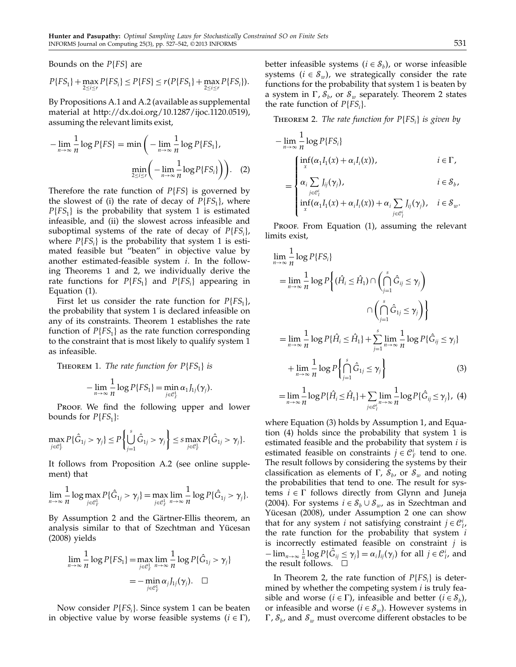Bounds on the  $P\{FS\}$  are

$$
P\{FS_1\} + \max_{2 \leq i \leq r} P\{FS_i\} \leq P\{FS\} \leq r(P\{FS_1\} + \max_{2 \leq i \leq r} P\{FS_i\}).
$$

By Propositions A.1 and A.2 (available as supplemental material at http://dx.doi.org/10.1287/ijoc.1120.0519), assuming the relevant limits exist,

$$
-\lim_{n\to\infty}\frac{1}{n}\log P\{FS\}=\min\left(-\lim_{n\to\infty}\frac{1}{n}\log P\{FS_1\},\right)
$$

$$
\min_{2\leq i\leq r}\left(-\lim_{n\to\infty}\frac{1}{n}\log P\{FS_i\}\right)\bigg).
$$
 (2)

Therefore the rate function of  $P\{FS\}$  is governed by the slowest of (i) the rate of decay of  $P\{FS_1\}$ , where  $P\{FS_1\}$  is the probability that system 1 is estimated infeasible, and (ii) the slowest across infeasible and suboptimal systems of the rate of decay of  $P\{FS_i\}$ , where  $P\{FS_i\}$  is the probability that system 1 is estimated feasible but "beaten" in objective value by another estimated-feasible system  $i$ . In the following Theorems 1 and 2, we individually derive the rate functions for  $P\{FS_1\}$  and  $P\{FS_i\}$  appearing in Equation (1).

First let us consider the rate function for  $P\{FS_1\}$ , the probability that system 1 is declared infeasible on any of its constraints. Theorem 1 establishes the rate function of  $P\{FS_1\}$  as the rate function corresponding to the constraint that is most likely to qualify system 1 as infeasible.

THEOREM 1. The rate function for  $P\{FS_1\}$  is

$$
-\lim_{n\to\infty}\frac{1}{n}\log P\{FS_1\}=\min_{j\in\mathcal{C}_F^1}\alpha_1J_{1j}(\gamma_j).
$$

Proof. We find the following upper and lower bounds for  $P\{FS_1\}$ :

$$
\max_{j\in\mathcal{C}_F^1} P\{\hat{G}_{1j} > \gamma_j\} \leq P\left\{\bigcup_{j=1}^s \hat{G}_{1j} > \gamma_j\right\} \leq s \max_{j\in\mathcal{C}_F^1} P\{\hat{G}_{1j} > \gamma_j\}.
$$

It follows from Proposition A.2 (see online supplement) that

$$
\lim_{n\to\infty}\frac{1}{n}\log\max_{j\in\mathcal{C}_F^1}P\{\hat{G}_{1j}>\gamma_j\}=\max_{j\in\mathcal{C}_F^1}\lim_{n\to\infty}\frac{1}{n}\log P\{\hat{G}_{1j}>\gamma_j\}.
$$

By Assumption 2 and the Gärtner-Ellis theorem, an analysis similar to that of Szechtman and Yücesan (2008) yields

$$
\lim_{n \to \infty} \frac{1}{n} \log P\{FS_1\} = \max_{j \in \mathcal{C}_F^1} \lim_{n \to \infty} \frac{1}{n} \log P\{\hat{G}_{1j} > \gamma_j\}
$$

$$
= -\min_{j \in \mathcal{C}_F^1} \alpha_j J_{1j}(\gamma_j). \quad \Box
$$

Now consider  $P\{FS_i\}$ . Since system 1 can be beaten in objective value by worse feasible systems  $(i \in \Gamma)$ ,

better infeasible systems  $(i \in \mathcal{S}_b)$ , or worse infeasible systems  $(i \in S_{w})$ , we strategically consider the rate functions for the probability that system 1 is beaten by a system in  $\Gamma$  ,  ${\mathcal S}_b$  , or  ${\mathcal S}_w$  separately. Theorem 2 states the rate function of  $P\{FS_i\}$ .

**THEOREM 2.** The rate function for  $P\{FS_i\}$  is given by

$$
-\lim_{n\to\infty}\frac{1}{n}\log P\{FS_i\}
$$
  
=
$$
\begin{cases}\n\inf_{x}(\alpha_1I_1(x)+\alpha_iI_i(x)), & i \in \Gamma, \\
\alpha_i\sum_{j\in\mathcal{C}_i}J_{ij}(\gamma_j), & i \in \mathcal{S}_b,\n\end{cases}
$$

$$
\left\{\inf_x(\alpha_1I_1(x)+\alpha_iI_i(x))+\alpha_i\sum_{j\in\mathcal{C}_I^i}J_{ij}(\gamma_j),\quad i\in\mathcal{S}_w.\right\}
$$

Proof. From Equation (1), assuming the relevant limits exist,

1

$$
\lim_{n \to \infty} \frac{1}{n} \log P\{FS_i\}
$$
\n
$$
= \lim_{n \to \infty} \frac{1}{n} \log P\left\{ (\hat{H}_i \le \hat{H}_1) \cap \left( \bigcap_{j=1}^s \hat{G}_{ij} \le \gamma_j \right) \right\}
$$
\n
$$
\cap \left( \bigcap_{j=1}^s \hat{G}_{1j} \le \gamma_j \right) \right\}
$$
\n
$$
= \lim_{n \to \infty} \frac{1}{n} \log P\{\hat{H}_i \le \hat{H}_1\} + \sum_{j=1}^s \lim_{n \to \infty} \frac{1}{n} \log P\{\hat{G}_{ij} \le \gamma_j\}
$$
\n
$$
+ \lim_{n \to \infty} \frac{1}{n} \log P\left\{\bigcap_{j=1}^s \hat{G}_{1j} \le \gamma_j\right\} \tag{3}
$$

$$
= \lim_{n \to \infty} \frac{1}{n} \log P{\hat{H}_i \le \hat{H}_1} + \sum_{j \in \mathcal{C}_1^i} \lim_{n \to \infty} \frac{1}{n} \log P{\hat{G}_{ij} \le \gamma_j}, \tag{4}
$$

where Equation (3) holds by Assumption 1, and Equation (4) holds since the probability that system 1 is estimated feasible and the probability that system  $i$  is estimated feasible on constraints  $j \in \mathcal{C}_F^i$  tend to one. The result follows by considering the systems by their classification as elements of  $\Gamma$ ,  ${\mathcal S}_b$ , or  ${\mathcal S}_w$  and noting the probabilities that tend to one. The result for systems  $i \in \Gamma$  follows directly from Glynn and Juneja (2004). For systems  $i \in S_b \cup S_w$ , as in Szechtman and Yücesan (2008), under Assumption 2 one can show that for any system *i* not satisfying constraint  $j \in \mathcal{C}_I^i$ , the rate function for the probability that system  $i$ is incorrectly estimated feasible on constraint  $j$  is  $-\lim_{n\to\infty}\frac{1}{n}\log P\{\hat{G}_{ij}\leq\gamma_j\}=\alpha_iJ_{ij}(\gamma_j)$  for all  $j\in\mathcal{C}_I^i$ , and the result follows.  $\Box$ 

In Theorem 2, the rate function of  $P\{FS_i\}$  is determined by whether the competing system  $i$  is truly feasible and worse  $(i \in \Gamma)$ , infeasible and better  $(i \in S_b)$ , or infeasible and worse ( $i \in S_{w}$ ). However systems in  $\Gamma$ ,  ${\mathcal S}_b$ , and  ${\mathcal S}_w$  must overcome different obstacles to be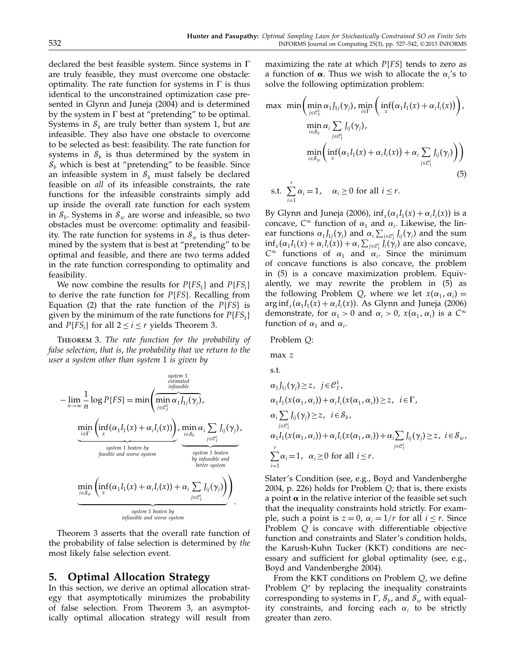declared the best feasible system. Since systems in  $\Gamma$ are truly feasible, they must overcome one obstacle: optimality. The rate function for systems in  $\Gamma$  is thus identical to the unconstrained optimization case presented in Glynn and Juneja (2004) and is determined by the system in  $\Gamma$  best at "pretending" to be optimal. Systems in  $S_b$  are truly better than system 1, but are infeasible. They also have one obstacle to overcome to be selected as best: feasibility. The rate function for systems in  ${\mathcal S}_b$  is thus determined by the system in  $S_b$  which is best at "pretending" to be feasible. Since an infeasible system in  $S_b$  must falsely be declared feasible on all of its infeasible constraints, the rate functions for the infeasible constraints simply add up inside the overall rate function for each system in  ${\mathcal S}_b$ . Systems in  ${\mathcal S}_w$  are worse and infeasible, so two obstacles must be overcome: optimality and feasibility. The rate function for systems in  $\mathcal{S}_w$  is thus determined by the system that is best at "pretending" to be optimal and feasible, and there are two terms added in the rate function corresponding to optimality and feasibility.

We now combine the results for  $P\{FS_1\}$  and  $P\{FS_i\}$ to derive the rate function for  $P\{FS\}$ . Recalling from Equation (2) that the rate function of the  $P\{FS\}$  is given by the minimum of the rate functions for  $P\{FS_1\}$ and  $P{FS<sub>i</sub>}$  for all  $2 \le i \le r$  yields Theorem 3.

Theorem 3. The rate function for the probability of false selection, that is, the probability that we return to the user a system other than system 1 is given by

$$
-\lim_{n\to\infty}\frac{1}{n}\log P\{FS\}=\min\left(\overbrace{\min_{j\in\mathcal{C}_F^1}\alpha_1\overline{J}_{1j}(\gamma_j)},\underline{\min_{i\in\mathcal{S}_b}\alpha_i\sum_{j\in\mathcal{C}_I^i}\overline{J}_{ij}(\gamma_j)},\underline{\min_{j\in\mathcal{S}_b}\left(\inf_{x\in\mathcal{C}_I}\left(\alpha_1I_1(x)+\alpha_iI_i(x)\right)\right)},\underline{\min_{i\in\mathcal{S}_b}\alpha_i\sum_{j\in\mathcal{C}_I^i}\overline{J}_{ij}(\gamma_j)},\underline{\min_{j\in\mathcal{S}_b}\alpha_i\sum_{j\in\mathcal{C}_I^i}\overline{J}_{ij}(\gamma_j)},\underline{\min_{j\in\mathcal{S}_b}\alpha_i\sum_{j\in\mathcal{C}_I^i}\overline{J}_{ij}(\gamma_j)},\underline{\min_{j\in\mathcal{S}_b}\left(\inf_{x\in\mathcal{S}_w}\left(\alpha_1I_1(x)+\alpha_iI_i(x)\right)+\alpha_i\sum_{j\in\mathcal{C}_I^i}\overline{J}_{ij}(\gamma_j)\right)}_{\text{infeasible and worse system}}
$$

Theorem 3 asserts that the overall rate function of the probability of false selection is determined by the most likely false selection event.

### 5. Optimal Allocation Strategy

In this section, we derive an optimal allocation strategy that asymptotically minimizes the probability of false selection. From Theorem 3, an asymptotically optimal allocation strategy will result from maximizing the rate at which  $P\{FS\}$  tends to zero as a function of  $\alpha$ . Thus we wish to allocate the  $\alpha_i$ 's to solve the following optimization problem:

$$
\max \min \left( \min_{j \in \mathcal{C}_F^1} \alpha_1 J_{1j}(\gamma_j), \min_{i \in \Gamma} \left( \inf_x (\alpha_1 I_1(x) + \alpha_i I_i(x)) \right), \newline \min_{i \in S_b} \alpha_i \sum_{j \in \mathcal{C}_I^i} J_{ij}(\gamma_j), \newline \min_{i \in S_w} \left( \inf_x (\alpha_1 I_1(x) + \alpha_i I_i(x)) + \alpha_i \sum_{j \in \mathcal{C}_I^i} J_{ij}(\gamma_j) \right) \right)
$$
\n
$$
(5)
$$

$$
\text{s.t. } \sum_{i=1}^r \alpha_i = 1, \quad \alpha_i \ge 0 \text{ for all } i \le r.
$$

By Glynn and Juneja (2006),  $\inf_x(\alpha_1 I_1(x) + \alpha_i I_i(x))$  is a concave,  $C^{\infty}$  function of  $\alpha_1$  and  $\alpha_i$ . Likewise, the linear functions  $\alpha_1 J_{1j}(\gamma_j)$  and  $\alpha_i \sum_{j \in \mathcal{C}_1^i} J_{ij}(\gamma_j)$  and the sum  $\inf_x(\alpha_1I_1(x)+\alpha_iI_i(x))+\alpha_i\sum_{j\in\mathcal{C}_1^i}J_i(\gamma_j)$  are also concave,  $C^{\infty}$  functions of  $\alpha_1$  and  $\alpha_i$ . Since the minimum of concave functions is also concave, the problem in (5) is a concave maximization problem. Equivalently, we may rewrite the problem in (5) as the following Problem *Q*, where we let  $x(\alpha_1, \alpha_i) =$  $\arg\inf_{x} (\alpha_1 I_1(x) + \alpha_i I_i(x))$ . As Glynn and Juneja (2006) demonstrate, for  $\alpha_1 > 0$  and  $\alpha_i > 0$ ,  $x(\alpha_1, \alpha_i)$  is a  $C^{\infty}$ function of  $\alpha_1$  and  $\alpha_i$ .

Problem Q: max z s.t.  $\alpha_1 J_{1j}(\gamma_j) \geq z, \ \ j \in \mathcal{C}_F^1$ ,  $\alpha_1 I_1(x(\alpha_1, \alpha_i)) + \alpha_i I_i(x(\alpha_1, \alpha_i)) \geq z, \ \ i \in \Gamma,$  $\alpha_i \sum J_{ij}(\gamma_j) \geq z, \ \ i \in \mathcal{S}_b,$  $\frac{\partial^i \in \mathcal{C}^i_l}{\partial \alpha_1 I_1(x(\alpha_1, \alpha_i)) + \alpha_i I_i(x(\alpha_1, \alpha_i)) + \alpha_i \sum}$ j∈£ i I  $J_{ij}(\gamma_j) \geq z, i \in S_w$ ,  $\sum_{i=1}^{r}$  $i=1$  $\alpha_i = 1$ ,  $\alpha_i \geq 0$  for all  $i \leq r$ .

Slater's Condition (see, e.g., Boyd and Vandenberghe 2004, p. 226) holds for Problem Q; that is, there exists a point  $\alpha$  in the relative interior of the feasible set such that the inequality constraints hold strictly. For example, such a point is  $z = 0$ ,  $\alpha_i = 1/r$  for all  $i \le r$ . Since Problem Q is concave with differentiable objective function and constraints and Slater's condition holds, the Karush-Kuhn Tucker (KKT) conditions are necessary and sufficient for global optimality (see, e.g., Boyd and Vandenberghe 2004).

From the KKT conditions on Problem Q, we define Problem  $Q^*$  by replacing the inequality constraints corresponding to systems in  $\Gamma$ ,  ${\mathcal S}_b$ , and  ${\mathcal S}_w$  with equality constraints, and forcing each  $\alpha_i$  to be strictly greater than zero.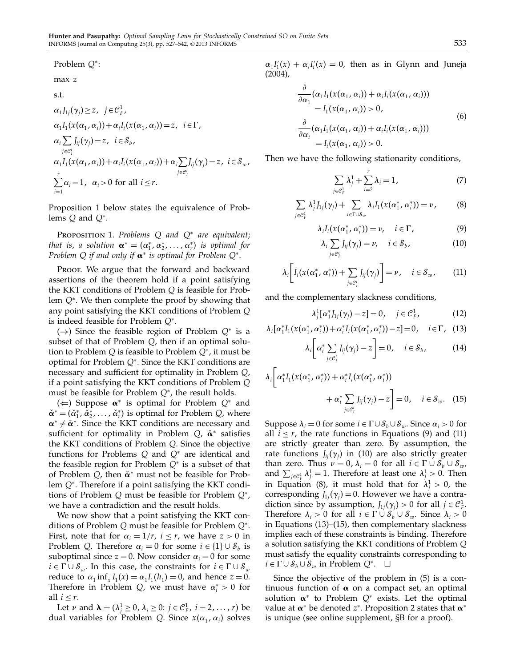### Problem Q<sup>\*</sup>:

$$
\max\ z
$$

s.t.  $\alpha_1 J_{1j}(\gamma_j) \geq z, \ \ j \in \mathcal{C}_F^1,$  $\alpha_1 I_1(x(\alpha_1,\alpha_i)) + \alpha_i I_i(x(\alpha_1,\alpha_i)) = z, i \in \Gamma,$  $\alpha_i \sum$ j∈£ i I  $J_{ij}(\gamma_j)=z, i \in S_b$ ,  $\alpha_1 I_1(x(\alpha_1, \alpha_i)) + \alpha_i I_i(x(\alpha_1, \alpha_i)) + \alpha_i \sum$ j∈£ i I  $J_{ij}(\gamma_j)=z, i \in \mathcal{S}_w$ ,  $\sum_{i=1}^{r} \alpha_i = 1$ ,  $\alpha_i > 0$  for all  $i \leq r$ .  $i=1$ 

Proposition 1 below states the equivalence of Problems Q and Q<sup>∗</sup> .

PROPOSITION 1. Problems  $Q$  and  $Q^*$  are equivalent; that is, a solution  $\mathbf{\alpha}^* = (\alpha_1^*, \alpha_2^*, \dots, \alpha_r^*)$  is optimal for Problem Q if and only if  $\alpha^*$  is optimal for Problem  $Q^*$ .

Proof. We argue that the forward and backward assertions of the theorem hold if a point satisfying the KKT conditions of Problem Q is feasible for Problem Q<sup>∗</sup> . We then complete the proof by showing that any point satisfying the KKT conditions of Problem Q is indeed feasible for Problem Q<sup>∗</sup> .

( $\Rightarrow$ ) Since the feasible region of Problem Q<sup>\*</sup> is a subset of that of Problem Q, then if an optimal solution to Problem  $Q$  is feasible to Problem  $Q^*$ , it must be optimal for Problem Q<sup>∗</sup> . Since the KKT conditions are necessary and sufficient for optimality in Problem Q, if a point satisfying the KKT conditions of Problem Q must be feasible for Problem  $Q^*$ , the result holds.

 $($  ⇔ Suppose α<sup>\*</sup> is optimal for Problem  $Q$ <sup>\*</sup> and  $\check{\alpha}^* = (\check{\alpha}_1^*, \check{\alpha}_2^*, \dots, \check{\alpha}_r^*)$  is optimal for Problem  $Q$ , where  $\alpha^* \neq \check{\alpha}^*$ . Since the KKT conditions are necessary and sufficient for optimality in Problem  $Q$ ,  $\check{\alpha}^*$  satisfies the KKT conditions of Problem Q. Since the objective functions for Problems  $Q$  and  $Q^*$  are identical and the feasible region for Problem  $Q^*$  is a subset of that of Problem  $Q$ , then  $\check{\alpha}^*$  must not be feasible for Problem Q<sup>∗</sup> . Therefore if a point satisfying the KKT conditions of Problem Q must be feasible for Problem Q<sup>∗</sup> , we have a contradiction and the result holds.

We now show that a point satisfying the KKT conditions of Problem Q must be feasible for Problem Q<sup>∗</sup> . First, note that for  $\alpha_i = 1/r$ ,  $i \leq r$ , we have  $z > 0$  in Problem Q. Therefore  $\alpha_i = 0$  for some  $i \in \{1\} \cup \mathcal{S}_b$  is suboptimal since  $z = 0$ . Now consider  $\alpha_i = 0$  for some  $i \in \Gamma \cup \mathcal{S}_w$ . In this case, the constraints for  $i \in \Gamma \cup \mathcal{S}_w$ reduce to  $\alpha_1$  inf<sub>x</sub>  $I_1(x) = \alpha_1 I_1(h_1) = 0$ , and hence  $z = 0$ . Therefore in Problem *Q*, we must have  $\alpha_i^* > 0$  for all  $i \leq r$ .

Let  $\nu$  and  $\mathbf{\lambda} = (\lambda_j^1 \geq 0, \lambda_i \geq 0: j \in \mathcal{C}_{F}^1, i = 2, \ldots, r)$  be dual variables for Problem Q. Since  $x(\alpha_1, \alpha_i)$  solves

 $\alpha_1 I'_1(x) + \alpha_i I'_i(x) = 0$ , then as in Glynn and Juneja (2004),

$$
\frac{\partial}{\partial \alpha_1} (\alpha_1 I_1(x(\alpha_1, \alpha_i)) + \alpha_i I_i(x(\alpha_1, \alpha_i)))
$$
\n
$$
= I_1(x(\alpha_1, \alpha_i)) > 0,
$$
\n
$$
\frac{\partial}{\partial \alpha_i} (\alpha_1 I_1(x(\alpha_1, \alpha_i)) + \alpha_i I_i(x(\alpha_1, \alpha_i)))
$$
\n
$$
= I_i(x(\alpha_1, \alpha_i)) > 0.
$$
\n(6)

Then we have the following stationarity conditions,

$$
\sum_{j \in \mathcal{C}_{\mathcal{F}}^1} \lambda_j^1 + \sum_{i=2}^r \lambda_i = 1, \tag{7}
$$

$$
\sum_{j \in \mathcal{C}_F^1} \lambda_j^1 J_{1j}(\gamma_j) + \sum_{i \in \Gamma \cup \mathcal{S}_w} \lambda_i I_1(x(\alpha_1^*, \alpha_i^*)) = \nu, \qquad (8)
$$

$$
\lambda_i I_i(x(\alpha_1^*, \alpha_i^*)) = \nu, \quad i \in \Gamma,
$$
\n(9)

$$
\lambda_i \sum_{j \in \mathcal{C}_1^i} J_{ij}(\gamma_j) = \nu, \quad i \in \mathcal{S}_b,
$$
\n(10)

$$
\lambda_i \bigg[ I_i(x(\alpha_1^*, \alpha_i^*)) + \sum_{j \in \mathcal{C}_i^i} I_{ij}(\gamma_j) \bigg] = \nu, \quad i \in \mathcal{S}_w,
$$
 (11)

and the complementary slackness conditions,

$$
\lambda_j^1[\alpha_1^*J_{1j}(\gamma_j)-z]=0, \quad j\in \mathcal{C}_F^1,\tag{12}
$$

$$
\lambda_i[\alpha_1^* I_1(x(\alpha_1^*, \alpha_i^*)) + \alpha_i^* I_i(x(\alpha_1^*, \alpha_i^*)) - z] = 0, \quad i \in \Gamma, \quad (13)
$$

$$
\lambda_i \bigg[ \alpha_i^* \sum_{j \in \mathcal{C}_I^i} J_{ij}(\gamma_j) - z \bigg] = 0, \quad i \in \mathcal{S}_b,
$$
 (14)

$$
\lambda_i \bigg[ \alpha_1^* I_1(x(\alpha_1^*, \alpha_i^*)) + \alpha_i^* I_i(x(\alpha_1^*, \alpha_i^*))
$$
  
+ 
$$
\alpha_i^* \sum_{j \in \mathcal{C}_1^i} I_{ij}(\gamma_j) - z \bigg] = 0, \quad i \in \mathcal{S}_w.
$$
 (15)

Suppose  $\lambda_i = 0$  for some  $i \in \Gamma \cup \mathcal{S}_b \cup \mathcal{S}_w$ . Since  $\alpha_i > 0$  for all  $i \leq r$ , the rate functions in Equations (9) and (11) are strictly greater than zero. By assumption, the rate functions  $J_{ij}(\gamma_j)$  in (10) are also strictly greater than zero. Thus  $\nu = 0$ ,  $\lambda_i = 0$  for all  $i \in \Gamma \cup \mathcal{S}_b \cup \mathcal{S}_w$ , and  $\sum_{j \in \mathcal{C}^1_F} \lambda^1_j = 1$ . Therefore at least one  $\lambda^1_j > 0$ . Then in Equation (8), it must hold that for  $\lambda_j^1 > 0$ , the corresponding  $J_{1j}(\gamma_j) = 0$ . However we have a contradiction since by assumption,  $J_{1j}(\gamma_j) > 0$  for all  $j \in \mathcal{C}_F^1$ . Therefore  $\lambda_i > 0$  for all  $i \in \Gamma \cup \mathcal{S}_b \cup \mathcal{S}_w$ . Since  $\lambda_i > 0$ in Equations (13)–(15), then complementary slackness implies each of these constraints is binding. Therefore a solution satisfying the KKT conditions of Problem Q must satisfy the equality constraints corresponding to  $i \in \Gamma \cup \mathcal{S}_b \cup \mathcal{S}_w$  in Problem  $Q^*$ .  $\Box$ 

Since the objective of the problem in (5) is a continuous function of  $\alpha$  on a compact set, an optimal solution  $\alpha^*$  to Problem  $Q^*$  exists. Let the optimal value at  $\alpha^*$  be denoted  $z^*$ . Proposition 2 states that  $\alpha^*$ is unique (see online supplement, §B for a proof).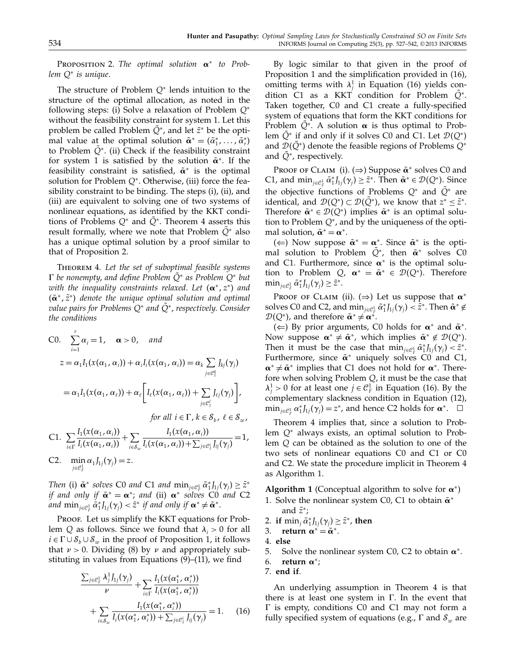PROPOSITION 2. The optimal solution  $\alpha^*$  to Problem Q<sup>∗</sup> is unique.

The structure of Problem Q<sup>∗</sup> lends intuition to the structure of the optimal allocation, as noted in the following steps: (i) Solve a relaxation of Problem  $Q^*$ without the feasibility constraint for system 1. Let this problem be called Problem  $\tilde{Q}^*$ , and let  $\tilde{z}^*$  be the optimal value at the optimal solution  $\tilde{\boldsymbol{\alpha}}^* = (\tilde{\alpha}_1^*, \dots, \tilde{\alpha}_r^*)$ to Problem  $\tilde{Q}^*$ . (ii) Check if the feasibility constraint for system 1 is satisfied by the solution  $\tilde{\alpha}^*$ . If the feasibility constraint is satisfied,  $\tilde{\alpha}^*$  is the optimal solution for Problem Q<sup>\*</sup>. Otherwise, (iii) force the feasibility constraint to be binding. The steps (i), (ii), and (iii) are equivalent to solving one of two systems of nonlinear equations, as identified by the KKT conditions of Problems  $Q^*$  and  $\tilde{Q}^*$ . Theorem 4 asserts this result formally, where we note that Problem  $\overline{Q}^*$  also has a unique optimal solution by a proof similar to that of Proposition 2.

Theorem 4. Let the set of suboptimal feasible systems  $\Gamma$  be nonempty, and define Problem  $\tilde{Q}^*$  as Problem  $\tilde{Q}^*$  but with the inequality constraints relaxed. Let  $(\boldsymbol{\alpha}^*, z^*)$  and  $(\tilde{\boldsymbol{\alpha}}^*, \tilde{z}^*)$  denote the unique optimal solution and optimal value pairs for Problems  $Q^*$  and  $\tilde{Q}^*$ , respectively. Consider the conditions

C0. 
$$
\sum_{i=1}^{r} \alpha_{i} = 1, \quad \alpha > 0, \quad and
$$
  
\n
$$
z = \alpha_{1} I_{1}(x(\alpha_{1}, \alpha_{i})) + \alpha_{i} I_{i}(x(\alpha_{1}, \alpha_{i})) = \alpha_{k} \sum_{j \in \mathcal{C}_{1}^{k}} I_{kj}(\gamma_{j})
$$
  
\n
$$
= \alpha_{1} I_{1}(x(\alpha_{1}, \alpha_{\ell})) + \alpha_{\ell} \left[ I_{\ell}(x(\alpha_{1}, \alpha_{\ell})) + \sum_{j \in \mathcal{C}_{1}^{l}} I_{\ell j}(\gamma_{j}) \right],
$$
  
\nfor all  $i \in \Gamma, k \in \mathcal{S}_{b}, \ell \in \mathcal{S}_{w},$   
\n
$$
I(x(\alpha, \alpha_{i})) = I(x(\alpha, \alpha_{i}))
$$

C1. 
$$
\sum_{i\in\Gamma}\frac{I_1(x(\alpha_1,\alpha_i))}{I_i(x(\alpha_1,\alpha_i))} + \sum_{i\in\mathcal{S}_w}\frac{I_1(x(\alpha_1,\alpha_i))}{I_i(x(\alpha_1,\alpha_i)) + \sum_{j\in\mathcal{C}_1^i}I_{ij}(\gamma_j)} = 1,
$$
  
C2. 
$$
\min_{j\in\mathcal{C}_1^1}\alpha_1I_{1j}(\gamma_j) = z.
$$

Then (i)  $\tilde{\boldsymbol{\alpha}}^*$  solves C0 and C1 and  $\min_{j \in \mathcal{C}_F^1} \tilde{\alpha}_1^* J_{1j}(\gamma_j) \geq \tilde{z}^*$ if and only if  $\tilde{\boldsymbol{\alpha}}^* = \boldsymbol{\alpha}^*$ ; and (ii)  $\boldsymbol{\alpha}^*$  solves CO and C2 and  $\min_{j \in \mathcal{C}^1_F} \tilde{\alpha}^*_1 J_{1j}(\gamma_j) < \tilde{z}^*$  if and only if  $\boldsymbol{\alpha}^* \neq \tilde{\boldsymbol{\alpha}}^*$ .

PROOF. Let us simplify the KKT equations for Problem Q as follows. Since we found that  $\lambda_i > 0$  for all  $i \in \Gamma \cup \mathcal{S}_b \cup \mathcal{S}_w$  in the proof of Proposition 1, it follows that  $\nu > 0$ . Dividing (8) by  $\nu$  and appropriately substituting in values from Equations  $(9)$ – $(11)$ , we find

$$
\frac{\sum_{j\in\mathcal{C}_{F}^{1}}\lambda_{j}^{1}J_{1j}(\gamma_{j})}{\nu} + \sum_{i\in\Gamma}\frac{I_{1}(x(\alpha_{1}^{*},\alpha_{i}^{*}))}{I_{i}(x(\alpha_{1}^{*},\alpha_{i}^{*}))} + \sum_{i\in\mathcal{S}_{w}}\frac{I_{1}(x(\alpha_{1}^{*},\alpha_{i}^{*}))}{I_{i}(x(\alpha_{1}^{*},\alpha_{i}^{*})) + \sum_{j\in\mathcal{C}_{I}^{i}}I_{ij}(\gamma_{j})} = 1.
$$
 (16)

By logic similar to that given in the proof of Proposition 1 and the simplification provided in (16), omitting terms with  $\lambda_j^1$  in Equation (16) yields condition C1 as a KKT condition for Problem  $\tilde{Q}^*$ . Taken together, C0 and C1 create a fully-specified system of equations that form the KKT conditions for Problem  $\tilde{Q}^*$ . A solution  $\alpha$  is thus optimal to Problem  $\tilde{Q}^*$  if and only if it solves C0 and C1. Let  $\mathcal{D}(Q^*)$ and  $\mathcal{D}(\tilde{Q}^{*})$  denote the feasible regions of Problems  $Q^{*}$ and  $\tilde{Q}^*$ , respectively.

Proof of CLAIM (i). ( $\Rightarrow$ ) Suppose  $\tilde{\alpha}^*$  solves C0 and C1, and  $\min_{j \in \mathcal{C}_F^1} \tilde{\alpha}_1^* J_{1j}(\gamma_j) \geq \tilde{z}^*$ . Then  $\tilde{\boldsymbol{\alpha}}^* \in \mathcal{D}(Q^*)$ . Since the objective functions of Problems  $Q^*$  and  $\tilde{Q}^*$  are identical, and  $\mathcal{D}(Q^*)\subset \mathcal{D}(\tilde{Q}^*)$ , we know that  $z^*\leq \tilde{z}^*.$ Therefore  $\tilde{\boldsymbol{\alpha}}^* \in \mathcal{D}(Q^*)$  implies  $\tilde{\boldsymbol{\alpha}}^*$  is an optimal solution to Problem  $Q^*$ , and by the uniqueness of the optimal solution,  $\tilde{\boldsymbol{\alpha}}^* = \boldsymbol{\alpha}^*$ .

(←) Now suppose  $\tilde{\alpha}^* = \alpha^*$ . Since  $\tilde{\alpha}^*$  is the optimal solution to Problem  $\tilde{Q}^*$ , then  $\tilde{\alpha}^*$  solves C0 and C1. Furthermore, since  $\alpha^*$  is the optimal solution to Problem *Q*,  $\boldsymbol{\alpha}^* = \tilde{\boldsymbol{\alpha}}^* \in \mathcal{D}(Q^*)$ . Therefore  $\min_{j \in \mathcal{C}_F^1} \tilde{\alpha}_1^* J_{1j}(\gamma_j) \geq \tilde{z}^*.$ 

Proof of CLAIM (ii). ( $\Rightarrow$ ) Let us suppose that  $\alpha^*$ solves C0 and C2, and  $\min_{j \in \mathcal{C}^1_F} \tilde{\alpha}_1^* J_{1j}(\gamma_j) < \tilde{z}^*$ . Then  $\tilde{\boldsymbol{\alpha}}^* \notin$  $\mathcal{D}(Q^*)$ , and therefore  $\tilde{\boldsymbol{\alpha}}^* \neq \boldsymbol{\alpha}^*$ .

(  $\Leftarrow$  ) By prior arguments, C0 holds for  $\alpha^*$  and  $\tilde{\alpha}^*$ . Now suppose  $\alpha^* \neq \tilde{\alpha}^*$ , which implies  $\tilde{\alpha}^* \notin \mathcal{D}(Q^*)$ . Then it must be the case that  $\min_{j \in \mathcal{C}_F^1} \tilde{\alpha}_1^* J_{1j}(\gamma_j) < \tilde{z}^*$ . Furthermore, since  $\tilde{\alpha}^*$  uniquely solves C0 and C1,  $\alpha^* \neq \tilde{\alpha}^*$  implies that C1 does not hold for  $\alpha^*$ . Therefore when solving Problem Q, it must be the case that  $\lambda_j^1 > 0$  for at least one  $j \in \mathcal{C}_F^1$  in Equation (16). By the complementary slackness condition in Equation (12),  $\min_{j \in \mathcal{C}_F^1} \alpha_1^* J_{1j}(\gamma_j) = z^*$ , and hence C2 holds for  $\alpha^*$ .  $\Box$ 

Theorem 4 implies that, since a solution to Problem Q<sup>∗</sup> always exists, an optimal solution to Problem Q can be obtained as the solution to one of the two sets of nonlinear equations C0 and C1 or C0 and C2. We state the procedure implicit in Theorem 4 as Algorithm 1.

Algorithm 1 (Conceptual algorithm to solve for  $\alpha^*$ ) 1. Solve the nonlinear system C0, C1 to obtain  $\tilde{\boldsymbol{\alpha}}^*$ 

- and  $\tilde{z}^*$ ;
- 2. if  $\min_j \tilde{\alpha}_1^* J_{1j}(\gamma_j) \geq \tilde{z}^*$ , then
- 3. return  $\alpha^* = \tilde{\alpha}^*$ .
- 4. else
- 5. Solve the nonlinear system C0, C2 to obtain  $\alpha^*$ .
- 6. return  $\alpha^*$ ;
- 7. end if.

An underlying assumption in Theorem 4 is that there is at least one system in  $\Gamma$ . In the event that  $\Gamma$  is empty, conditions C0 and C1 may not form a fully specified system of equations (e.g.,  $\Gamma$  and  $\mathcal{S}_w$  are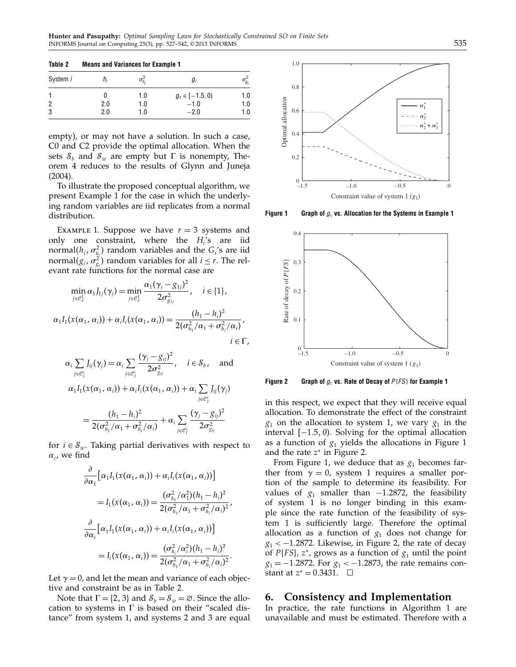| Table 2  | <b>Means and Variances for Example 1</b> |                |                     |                |  |
|----------|------------------------------------------|----------------|---------------------|----------------|--|
| System i |                                          | $\sigma_{h_i}$ | $g_i$               | $\sigma_{g_i}$ |  |
|          |                                          | 1.0            | $g_1 \in [-1.5, 0)$ | 1.0            |  |
| 2        | 2.0                                      | 1.0            | $-1.0$              | 1.0            |  |
| 3        | 2.0                                      | 1.0            | $-2.0$              | 1.0            |  |

empty), or may not have a solution. In such a case, C0 and C2 provide the optimal allocation. When the sets  $S_b$  and  $S_w$  are empty but  $\Gamma$  is nonempty, Theorem 4 reduces to the results of Glynn and Juneja (2004).

To illustrate the proposed conceptual algorithm, we present Example 1 for the case in which the underlying random variables are iid replicates from a normal distribution.

EXAMPLE 1. Suppose we have  $r = 3$  systems and only one constraint, where the  $H_i$ 's are iid normal $(h_i, \sigma_{h_i}^2)$  random variables and the  $G_i$ 's are iid normal $(g_i, \sigma_{g_i}^2)$  random variables for all  $i \leq r$ . The relevant rate functions for the normal case are

$$
\min_{j \in \mathcal{C}_F^1} \alpha_1 J_{1j}(\gamma_j) = \min_{j \in \mathcal{C}_F^1} \frac{\alpha_1(\gamma_j - g_{1j})^2}{2\sigma_{g_{1j}}^2}, \quad i \in \{1\},
$$
  

$$
\alpha_1 I_1(x(\alpha_1, \alpha_i)) + \alpha_i I_i(x(\alpha_1, \alpha_i)) = \frac{(h_1 - h_i)^2}{2(\sigma_{h_1}^2/\alpha_1 + \sigma_{h_i}^2/\alpha_i)},
$$
  
 $i \in \Gamma,$ 

$$
\alpha_i \sum_{j \in \mathcal{C}_I^i} J_{ij}(\gamma_j) = \alpha_i \sum_{j \in \mathcal{C}_I^i} \frac{(\gamma_j - g_{ij})^2}{2\sigma_{g_{ij}}^2}, \quad i \in \mathcal{S}_b, \text{ and}
$$
  

$$
\alpha_1 I_1(x(\alpha_1, \alpha_i)) + \alpha_i I_i(x(\alpha_1, \alpha_i)) + \alpha_i \sum_{j \in \mathcal{C}_I^i} J_{ij}(\gamma_j)
$$
  

$$
= \frac{(h_1 - h_i)^2}{2(\sigma_{h_1}^2/\alpha_1 + \sigma_{h_i}^2/\alpha_i)} + \alpha_i \sum_{j \in \mathcal{C}_I^i} \frac{(\gamma_j - g_{ij})^2}{2\sigma_{g_{ij}}^2}
$$

for  $i \in \mathcal{S}_w$ . Taking partial derivatives with respect to  $\alpha_i$ , we find

$$
\frac{\partial}{\partial \alpha_1} \Big[ \alpha_1 I_1(x(\alpha_1, \alpha_i)) + \alpha_i I_i(x(\alpha_1, \alpha_i)) \Big] \n= I_1(x(\alpha_1, \alpha_i)) = \frac{(\sigma_{h_1}^2/\alpha_1^2)(h_1 - h_i)^2}{2(\sigma_{h_1}^2/\alpha_1 + \sigma_{h_i}^2/\alpha_i)^2}, \n\frac{\partial}{\partial \alpha_i} \Big[ \alpha_1 I_1(x(\alpha_1, \alpha_i)) + \alpha_i I_i(x(\alpha_1, \alpha_i)) \Big] \n= I_i(x(\alpha_1, \alpha_i)) = \frac{(\sigma_{h_i}^2/\alpha_i^2)(h_1 - h_i)^2}{2(\sigma_{h_1}^2/\alpha_1 + \sigma_{h_i}^2/\alpha_i)^2}.
$$

Let  $\gamma = 0$ , and let the mean and variance of each objective and constraint be as in Table 2.

Note that  $\Gamma = \{2, 3\}$  and  $S_b = S_w = \emptyset$ . Since the allocation to systems in  $\Gamma$  is based on their "scaled distance" from system 1, and systems 2 and 3 are equal



Figure 1  $\qquad$  Graph of  $g_1$  vs. Allocation for the Systems in Example 1



Figure 2 Graph of  $g_1$  vs. Rate of Decay of  $P\{FS\}$  for Example 1

in this respect, we expect that they will receive equal allocation. To demonstrate the effect of the constraint  $g_1$  on the allocation to system 1, we vary  $g_1$  in the interval  $[-1.5, 0)$ . Solving for the optimal allocation as a function of  $g_1$  yields the allocations in Figure 1 and the rate  $z^*$  in Figure 2.

From Figure 1, we deduce that as  $g_1$  becomes farther from  $\gamma = 0$ , system 1 requires a smaller portion of the sample to determine its feasibility. For values of  $g_1$  smaller than  $-1.2872$ , the feasibility of system 1 is no longer binding in this example since the rate function of the feasibility of system 1 is sufficiently large. Therefore the optimal allocation as a function of  $g_1$  does not change for  $g_1 < -1.2872$ . Likewise, in Figure 2, the rate of decay of  $P\{FS\}$ ,  $z^*$ , grows as a function of  $g_1$  until the point  $g_1 = -1.2872$ . For  $g_1 < -1.2873$ , the rate remains constant at  $z^* = 0.3431$ .  $\Box$ 

#### 6. Consistency and Implementation

In practice, the rate functions in Algorithm 1 are unavailable and must be estimated. Therefore with a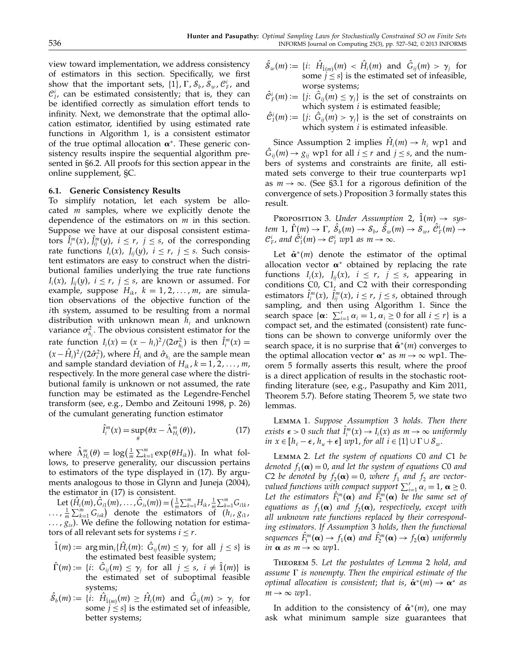view toward implementation, we address consistency of estimators in this section. Specifically, we first show that the important sets,  $\{1\}$ ,  $\Gamma$ ,  $S_b$ ,  $S_w$ ,  $C_F^i$ , and  $\mathcal{C}_I^i$ , can be estimated consistently; that is, they can be identified correctly as simulation effort tends to infinity. Next, we demonstrate that the optimal allocation estimator, identified by using estimated rate functions in Algorithm 1, is a consistent estimator of the true optimal allocation  $\alpha^*$ . These generic consistency results inspire the sequential algorithm presented in §6.2. All proofs for this section appear in the online supplement, §C.

#### 6.1. Generic Consistency Results

To simplify notation, let each system be allocated  $m$  samples, where we explicitly denote the dependence of the estimators on  $m$  in this section. Suppose we have at our disposal consistent estimators  $\hat{I}_i^m(x)$ ,  $\hat{J}_{ij}^m(y)$ ,  $i \leq r$ ,  $j \leq s$ , of the corresponding rate functions  $I_i(x)$ ,  $J_{ij}(y)$ ,  $i \leq r$ ,  $j \leq s$ . Such consistent estimators are easy to construct when the distributional families underlying the true rate functions  $I_i(x)$ ,  $J_{ij}(y)$ ,  $i \leq r$ ,  $j \leq s$ , are known or assumed. For example, suppose  $H_{ik}$ ,  $k = 1, 2, \ldots, m$ , are simulation observations of the objective function of the ith system, assumed to be resulting from a normal distribution with unknown mean  $h_i$  and unknown variance  $\sigma_{h_i}^2$ . The obvious consistent estimator for the rate function  $I_i(x) = (x - h_i)^2 / (2\sigma_{h_i}^2)$  is then  $\hat{I}_i^m(x) =$  $(x-\hat{H}_i)^2/(2\hat{\sigma}_i^2)$ , where  $\hat{H}_i$  and  $\hat{\sigma}_{h_i}$  are the sample mean and sample standard deviation of  $H_{ik}$ ,  $k = 1, 2, \ldots, m$ , respectively. In the more general case where the distributional family is unknown or not assumed, the rate function may be estimated as the Legendre-Fenchel transform (see, e.g., Dembo and Zeitouni 1998, p. 26) of the cumulant generating function estimator

$$
\hat{I}_i^m(x) = \sup_{\theta} (\theta x - \hat{\Lambda}_{H_i}^m(\theta)), \qquad (17)
$$

where  $\hat{\Lambda}_{H_i}^m(\theta) = \log(\frac{1}{m} \sum_{k=1}^m \exp(\theta H_{ik}))$ . In what follows, to preserve generality, our discussion pertains to estimators of the type displayed in (17). By arguments analogous to those in Glynn and Juneja (2004), the estimator in (17) is consistent.

Let  $(\hat{H}_i(m), \hat{G}_{i1}(m), \dots, \hat{G}_{is}(m)) = (\frac{1}{m} \sum_{k=1}^m H_{ik}, \frac{1}{m} \sum_{k=1}^m G_{i1k},$  $\ldots$ ,  $\frac{1}{m} \sum_{k=1}^{m} G_{isk}$  denote the estimators of  $(h_i, g_{i1},$  $\ldots$ ,  $g_{is}$ ). We define the following notation for estimators of all relevant sets for systems  $i \leq r$ .

- $\hat{1}(m) := \arg\min_i \{ \hat{H}_i(m) : \ \hat{G}_{ij}(m) \leq \gamma_j \ \text{ for all } \ j \leq s \}$  is the estimated best feasible system;
- $\hat{\Gamma}(m) \coloneqq \{i: \ \hat{G}_{ij}(m) \leq \gamma_j \ \text{ for all } \ j \leq s, \ i \neq \hat{1}(m) \}$  is the estimated set of suboptimal feasible systems;
- $\hat{\mathcal{S}}_b(m):= \{\dot{i}:~\hat{H}_{\hat{1}(m)}(m)\geq \hat{H}_i(m)~~\text{and}~~\hat{G}_{ij}(m)>\gamma_j~~\text{for}$ some  $j \leq s$  is the estimated set of infeasible, better systems;
- $\hat{\cal S}_w(m) \coloneqq \{i\colon \; \hat{H}_{\hat{1}(m)}(m) \; < \; \hat{H}_i(m) \; \; \text{and} \; \; \hat{G}_{ij}(m) \; > \; \gamma_j \; \; \text{for}$ some  $j \leq s$  is the estimated set of infeasible, worse systems;
- $\hat{\mathcal{C}}_F^i(m) := \{j: \ \hat{G}_{ij}(m) \leq \gamma_j\}$  is the set of constraints on which system  $i$  is estimated feasible;
- $\hat{\mathcal{C}}_i^i(m) := \{j: \ \hat{G}_{ij}(m) > \gamma_j\}$  is the set of constraints on which system  $i$  is estimated infeasible.

Since Assumption 2 implies  $\hat{H}_i(m) \rightarrow h_i$  wp1 and  $\hat{G}_{ij}(m) \rightarrow g_{ij}$  wp1 for all  $i \leq r$  and  $j \leq s$ , and the numbers of systems and constraints are finite, all estimated sets converge to their true counterparts wp1 as  $m \to \infty$ . (See §3.1 for a rigorous definition of the convergence of sets.) Proposition 3 formally states this result.

PROPOSITION 3. Under Assumption 2,  $\hat{1}(m) \rightarrow sys$ tem 1,  $\hat{\Gamma}(m) \to \Gamma$ ,  $\hat{\mathcal{S}}_b(m) \to \mathcal{S}_b$ ,  $\hat{\mathcal{S}}_w(m) \to \mathcal{S}_w$ ,  $\hat{\mathcal{C}}_F^i(m) \to$  $\mathcal{C}_F^i$ , and  $\hat{\mathcal{C}}_I^i(m) \to \mathcal{C}_I^i$  wp1 as  $m \to \infty$ .

Let  $\hat{\alpha}^*(m)$  denote the estimator of the optimal allocation vector  $\alpha^*$  obtained by replacing the rate functions  $I_i(x)$ ,  $J_{ij}(x)$ ,  $i \leq r$ ,  $j \leq s$ , appearing in conditions C0, C1, and C2 with their corresponding estimators  $\hat{I}_i^m(x)$ ,  $\hat{J}_{ij}^m(x)$ ,  $i \leq r$ ,  $j \leq s$ , obtained through sampling, and then using Algorithm 1. Since the search space  $\{\boldsymbol{\alpha} : \sum_{i=1}^r \alpha_i = 1, \alpha_i \geq 0 \text{ for all } i \leq r\}$  is a compact set, and the estimated (consistent) rate functions can be shown to converge uniformly over the search space, it is no surprise that  $\hat{\alpha}^*(m)$  converges to the optimal allocation vector  $\alpha^*$  as  $m \to \infty$  wp1. Theorem 5 formally asserts this result, where the proof is a direct application of results in the stochastic rootfinding literature (see, e.g., Pasupathy and Kim 2011, Theorem 5.7). Before stating Theorem 5, we state two lemmas.

Lemma 1. Suppose Assumption 3 holds. Then there exists  $\epsilon > 0$  such that  $\hat{I}_i^m(x) \to I_i(x)$  as  $m \to \infty$  uniformly in  $x \in [h_{\ell} - \epsilon, h_{\nu} + \epsilon]$  wp1, for all  $i \in \{1\} \cup \Gamma \cup \mathcal{S}_{\nu}$ .

Lemma 2. Let the system of equations C0 and C1 be denoted  $f_1(\boldsymbol{\alpha})$   $=$  0, and let the system of equations C0 and C2 be denoted by  $f_2(\boldsymbol{\alpha}) = 0$ , where  $f_1$  and  $f_2$  are vectorvalued functions with compact support  $\sum_{i=1}^r \alpha_i = 1$ ,  $\alpha \ge 0$ . Let the estimators  $\hat{F}_1^m(\boldsymbol{\alpha})$  and  $\hat{F}_2^m(\boldsymbol{\alpha})$  be the same set of equations as  $f_1(\boldsymbol{\alpha})$  and  $f_2(\boldsymbol{\alpha})$ , respectively, except with all unknown rate functions replaced by their corresponding estimators. If Assumption 3 holds, then the functional sequences  $\hat{F}_1^m(\alpha) \to f_1(\alpha)$  and  $\hat{F}_2^m(\alpha) \to f_2(\alpha)$  uniformly in  $\alpha$  as  $m \rightarrow \infty$  wp1.

Theorem 5. Let the postulates of Lemma 2 hold, and assume  $\Gamma$  is nonempty. Then the empirical estimate of the optimal allocation is consistent; that is,  $\hat{\alpha}^*(m) \rightarrow \alpha^*$  as  $m \rightarrow \infty$  wp1.

In addition to the consistency of  $\hat{\alpha}^*(m)$ , one may ask what minimum sample size guarantees that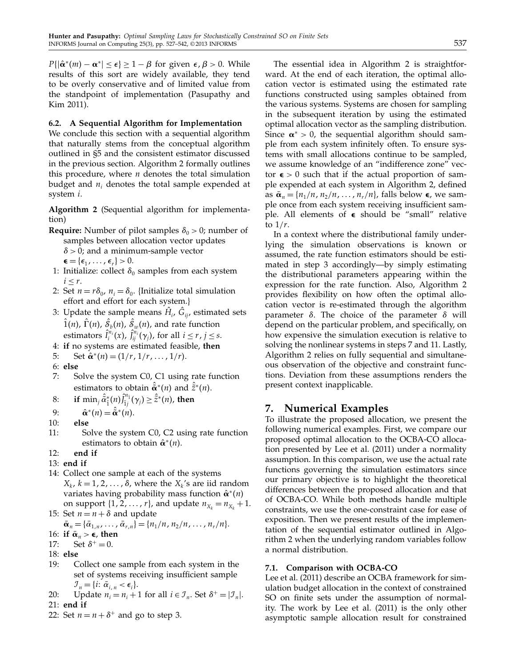$P\{\left|\hat{\boldsymbol{\alpha}}^{*}(m)-\boldsymbol{\alpha}^{*}\right|\leq\epsilon\}\geq1-\beta$  for given  $\epsilon,\beta>0$ . While results of this sort are widely available, they tend to be overly conservative and of limited value from the standpoint of implementation (Pasupathy and Kim 2011).

### 6.2. A Sequential Algorithm for Implementation

We conclude this section with a sequential algorithm that naturally stems from the conceptual algorithm outlined in §5 and the consistent estimator discussed in the previous section. Algorithm 2 formally outlines this procedure, where  $n$  denotes the total simulation budget and  $n_i$  denotes the total sample expended at system i.

Algorithm 2 (Sequential algorithm for implementation)

- **Require:** Number of pilot samples  $\delta_0 > 0$ ; number of samples between allocation vector updates  $\delta$  > 0; and a minimum-sample vector  $\boldsymbol{\epsilon} = {\epsilon_1, \ldots, \epsilon_r} > 0.$
- 1: Initialize: collect  $\delta_0$  samples from each system  $i \leq r$ .
- 2: Set  $n = r\delta_0$ ,  $n_i = \delta_0$ . {Initialize total simulation effort and effort for each system.}
- 3: Update the sample means  $\hat{H}_{i}$ ,  $\hat{G}_{ij}$ , estimated sets  $\hat{1}(n)$ ,  $\hat{\Gamma}(n)$ ,  $\hat{\mathcal{S}}_b(n)$ ,  $\hat{\mathcal{S}}_w(n)$ , and rate function estimators  $\hat{I}^{n_i}_i(x)$ ,  $\hat{J}^{n_i}_{ij}(\gamma_j)$ , for all  $i \leq r$ ,  $j \leq s$ .
- 4: if no systems are estimated feasible, then
- 5: Set  $\hat{\alpha}^*(n) = (1/r, 1/r, ..., 1/r)$ .
- 6: else
- 7: Solve the system C0, C1 using rate function estimators to obtain  $\hat{\tilde{\alpha}}^{*}(n)$  and  $\hat{\tilde{z}}^{*}(n)$ .
- 8: **if** min<sub>j</sub>  $\hat{\tilde{\alpha}}_{\hat{1}}^{*}(n) \hat{J}_{\hat{1}j}^{n_{\hat{1}}}$  $\hat{\tilde z}^*_{\hat 1j}(\gamma_j)\geq \hat{\tilde z}^*(n)$ , then

9:  $\hat{\mathbf{\alpha}}^*(n) = \hat{\tilde{\mathbf{\alpha}}}^*(n).$ 

- 10: else
- 11: Solve the system C0, C2 using rate function estimators to obtain  $\hat{\mathbf{\alpha}}^{*}(n)$ .
- 12: end if
- 13: end if
- 14: Collect one sample at each of the systems  $X_k$ ,  $k = 1, 2, \ldots$ ,  $\delta$ , where the  $X_k$ 's are iid random variates having probability mass function  $\hat{\alpha}^*(n)$ on support  $\{1, 2, ..., r\}$ , and update  $n_{X_k} = n_{X_k} + 1$ . 15: Set  $n = n + \delta$  and update

 $\bar{\mathbf{\alpha}}_n = {\bar{\alpha}}_{1,n}, \ldots, {\bar{\alpha}}_{r,n} = {n_1/n}, n_2/n, \ldots, n_r/n$ .

- 16: if  $\bar{\boldsymbol{\alpha}}_n > \boldsymbol{\epsilon}$ , then
- 17: Set  $\delta^+ = 0$ .
- 18: else
- 19: Collect one sample from each system in the set of systems receiving insufficient sample  $\mathcal{I}_n = \{i: \bar{\alpha}_{i,n} < \epsilon_i\}.$
- 20: Update  $n_i = n_i + 1$  for all  $i \in \mathcal{I}_n$ . Set  $\delta^+ = |\mathcal{I}_n|$ .
- 21: end if
- 22: Set  $n = n + \delta^+$  and go to step 3.

The essential idea in Algorithm 2 is straightforward. At the end of each iteration, the optimal allocation vector is estimated using the estimated rate functions constructed using samples obtained from the various systems. Systems are chosen for sampling in the subsequent iteration by using the estimated optimal allocation vector as the sampling distribution. Since  $\alpha^* > 0$ , the sequential algorithm should sample from each system infinitely often. To ensure systems with small allocations continue to be sampled, we assume knowledge of an "indifference zone" vector  $\epsilon > 0$  such that if the actual proportion of sample expended at each system in Algorithm 2, defined as  $\bar{\mathbf{\alpha}}_n = \{n_1/n, n_2/n, \dots, n_r/n\}$ , falls below  $\epsilon$ , we sample once from each system receiving insufficient sample. All elements of  $\epsilon$  should be "small" relative to  $1/r$ .

In a context where the distributional family underlying the simulation observations is known or assumed, the rate function estimators should be estimated in step 3 accordingly—by simply estimating the distributional parameters appearing within the expression for the rate function. Also, Algorithm 2 provides flexibility on how often the optimal allocation vector is re-estimated through the algorithm parameter  $\delta$ . The choice of the parameter  $\delta$  will depend on the particular problem, and specifically, on how expensive the simulation execution is relative to solving the nonlinear systems in steps 7 and 11. Lastly, Algorithm 2 relies on fully sequential and simultaneous observation of the objective and constraint functions. Deviation from these assumptions renders the present context inapplicable.

### 7. Numerical Examples

To illustrate the proposed allocation, we present the following numerical examples. First, we compare our proposed optimal allocation to the OCBA-CO allocation presented by Lee et al. (2011) under a normality assumption. In this comparison, we use the actual rate functions governing the simulation estimators since our primary objective is to highlight the theoretical differences between the proposed allocation and that of OCBA-CO. While both methods handle multiple constraints, we use the one-constraint case for ease of exposition. Then we present results of the implementation of the sequential estimator outlined in Algorithm 2 when the underlying random variables follow a normal distribution.

### 7.1. Comparison with OCBA-CO

Lee et al. (2011) describe an OCBA framework for simulation budget allocation in the context of constrained SO on finite sets under the assumption of normality. The work by Lee et al. (2011) is the only other asymptotic sample allocation result for constrained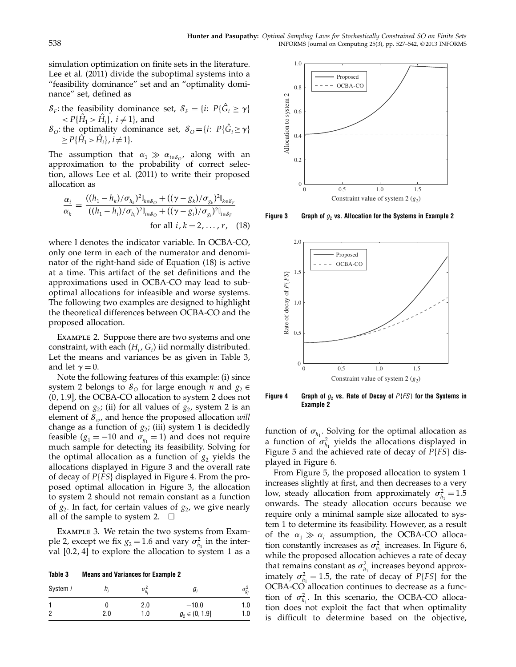simulation optimization on finite sets in the literature. Lee et al. (2011) divide the suboptimal systems into a "feasibility dominance" set and an "optimality dominance" set, defined as

 $S_F$ : the feasibility dominance set,  $S_F = \{i: P\{\hat{G}_i \geq \gamma\}$  $\langle P\{\hat{H}_1 > \hat{H}_i\}, i \neq 1\}$ , and  $S_O$ : the optimality dominance set,  $S_O = \{i: P\{\hat{G}_i \geq \gamma\}$  $\geq P\{\hat{H}_1 > \hat{H}_i\}, i \neq 1\}.$ 

The assumption that  $\alpha_1 \gg \alpha_{i\in S_O}$ , along with an approximation to the probability of correct selection, allows Lee et al. (2011) to write their proposed allocation as

$$
\frac{\alpha_i}{\alpha_k} = \frac{((h_1 - h_k)/\sigma_{h_k})^2 \mathbb{I}_{k \in \mathcal{S}_O} + ((\gamma - g_k)/\sigma_{g_k})^2 \mathbb{I}_{k \in \mathcal{S}_F}}{((h_1 - h_i)/\sigma_{h_i})^2 \mathbb{I}_{i \in \mathcal{S}_O} + ((\gamma - g_i)/\sigma_{g_i})^2 \mathbb{I}_{i \in \mathcal{S}_F}}
$$
  
for all  $i, k = 2, ..., r$ , (18)

where I denotes the indicator variable. In OCBA-CO, only one term in each of the numerator and denominator of the right-hand side of Equation (18) is active at a time. This artifact of the set definitions and the approximations used in OCBA-CO may lead to suboptimal allocations for infeasible and worse systems. The following two examples are designed to highlight the theoretical differences between OCBA-CO and the proposed allocation.

Example 2. Suppose there are two systems and one constraint, with each  $(H_i, G_i)$  iid normally distributed. Let the means and variances be as given in Table 3, and let  $\gamma = 0$ .

Note the following features of this example: (i) since system 2 belongs to  $S_{\text{o}}$  for large enough *n* and  $g_2 \in$  $(0, 1.9]$ , the OCBA-CO allocation to system 2 does not depend on  $g_2$ ; (ii) for all values of  $g_2$ , system 2 is an element of  $\mathcal{S}_w$ , and hence the proposed allocation will change as a function of  $g_2$ ; (iii) system 1 is decidedly feasible ( $g_1 = -10$  and  $\sigma_{g_1} = 1$ ) and does not require much sample for detecting its feasibility. Solving for the optimal allocation as a function of  $g_2$  yields the allocations displayed in Figure 3 and the overall rate of decay of  $P\{FS\}$  displayed in Figure 4. From the proposed optimal allocation in Figure 3, the allocation to system 2 should not remain constant as a function of  $g_2$ . In fact, for certain values of  $g_2$ , we give nearly all of the sample to system 2.  $\Box$ 

Example 3. We retain the two systems from Example 2, except we fix  $g_2 = 1.6$  and vary  $\sigma_{h_1}^2$  in the interval  $[0.2, 4]$  to explore the allocation to system 1 as a

Table 3 Means and Variances for Example 2

| System i | H;  | h.  | $g_i$              | $g_i$ |
|----------|-----|-----|--------------------|-------|
|          |     | 2.0 | $-10.0$            | 1.0   |
| 2        | 2.0 | 1.0 | $g_2 \in (0, 1.9]$ | 1.0   |



Figure 3  $\qquad$  Graph of  $g_{\scriptscriptstyle 2}$  vs. Allocation for the Systems in Example 2



Figure 4  $\;\;\;\;$  Graph of  $g_{\scriptscriptstyle 2}$  vs. Rate of Decay of  $\mathit{P} \{FS\}$  for the Systems in Example 2

function of  $\sigma_{h_1}$ . Solving for the optimal allocation as a function of  $\sigma_{h_1}^2$  yields the allocations displayed in Figure 5 and the achieved rate of decay of  $P\{FS\}$  displayed in Figure 6.

From Figure 5, the proposed allocation to system 1 increases slightly at first, and then decreases to a very low, steady allocation from approximately  $\sigma_{h_1}^2 = 1.5$ onwards. The steady allocation occurs because we require only a minimal sample size allocated to system 1 to determine its feasibility. However, as a result of the  $\alpha_1 \gg \alpha_i$  assumption, the OCBA-CO allocation constantly increases as  $\sigma_{h_1}^2$  increases. In Figure 6, while the proposed allocation achieves a rate of decay that remains constant as  $\sigma_{h_1}^2$  increases beyond approximately  $\sigma_{h_1}^2 = 1.5$ , the rate of decay of  $P\{FS\}$  for the OCBA-CO allocation continues to decrease as a function of  $\sigma_{h_1}^2$ . In this scenario, the OCBA-CO allocation does not exploit the fact that when optimality is difficult to determine based on the objective,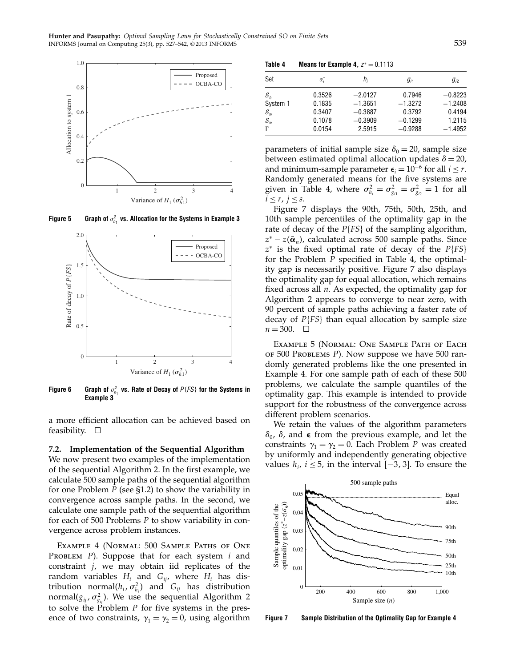

Figure 5  $\qquad$  Graph of  $\sigma _{{h_{1}}}^{2}$  vs. Allocation for the Systems in Example 3



Figure 6 Graph of  $\sigma_{h_1}^2$  vs. Rate of Decay of  $P\{FS\}$  for the Systems in Example 3

a more efficient allocation can be achieved based on feasibility.  $\square$ 

#### 7.2. Implementation of the Sequential Algorithm

We now present two examples of the implementation of the sequential Algorithm 2. In the first example, we calculate 500 sample paths of the sequential algorithm for one Problem  $P$  (see §1.2) to show the variability in convergence across sample paths. In the second, we calculate one sample path of the sequential algorithm for each of 500 Problems P to show variability in convergence across problem instances.

Example 4 (Normal: 500 Sample Paths of One PROBLEM  $P$ ). Suppose that for each system  $i$  and constraint  $j$ , we may obtain iid replicates of the random variables  $H_i$  and  $G_{ij}$ , where  $H_i$  has distribution normal $(h_i, \sigma_{h_i}^2)$  and  $G_{ij}$  has distribution normal $(g_{ij},\sigma^2_{g_{ij}})$ . We use the sequential Algorithm 2 to solve the Problem P for five systems in the presence of two constraints,  $\gamma_1 = \gamma_2 = 0$ , using algorithm

Table 4 Means for Example 4,  $z^* = 0.1113$ 

| Set              | $\alpha_i^*$ | n,        | $g_{i1}$  | $g_{i2}$  |
|------------------|--------------|-----------|-----------|-----------|
| ${\mathcal S}_h$ | 0.3526       | $-2.0127$ | 0.7946    | $-0.8223$ |
| Svstem 1         | 0.1835       | $-1.3651$ | $-1.3272$ | $-1.2408$ |
| ${\mathcal S}_w$ | 0.3407       | $-0.3887$ | 0.3792    | 0.4194    |
| ${\mathcal S}_w$ | 0.1078       | $-0.3909$ | $-0.1299$ | 1.2115    |
| Г                | 0.0154       | 2.5915    | $-0.9288$ | $-1.4952$ |
|                  |              |           |           |           |

parameters of initial sample size  $\delta_0 = 20$ , sample size between estimated optimal allocation updates  $\delta = 20$ , and minimum-sample parameter  $\epsilon_i = 10^{-6}$  for all  $i \leq r$ . Randomly generated means for the five systems are given in Table 4, where  $\sigma_{h_i}^2 = \sigma_{g_{i1}}^2 = \sigma_{g_{i2}}^2 = 1$  for all  $i \leq r$ ,  $j \leq s$ .

Figure 7 displays the 90th, 75th, 50th, 25th, and 10th sample percentiles of the optimality gap in the rate of decay of the  $P\{FS\}$  of the sampling algorithm,  $z^* - z(\bar{\boldsymbol{\alpha}}_n)$ , calculated across 500 sample paths. Since  $z^*$  is the fixed optimal rate of decay of the  $P\{FS\}$ for the Problem P specified in Table 4, the optimality gap is necessarily positive. Figure 7 also displays the optimality gap for equal allocation, which remains fixed across all  $n$ . As expected, the optimality gap for Algorithm 2 appears to converge to near zero, with 90 percent of sample paths achieving a faster rate of decay of  $P\{FS\}$  than equal allocation by sample size  $n = 300. \quad \Box$ 

Example 5 (Normal: One Sample Path of Each OF  $500$  Problems P). Now suppose we have  $500$  randomly generated problems like the one presented in Example 4. For one sample path of each of these 500 problems, we calculate the sample quantiles of the optimality gap. This example is intended to provide support for the robustness of the convergence across different problem scenarios.

We retain the values of the algorithm parameters  $\delta_0$ ,  $\delta$ , and  $\epsilon$  from the previous example, and let the constraints  $\gamma_1 = \gamma_2 = 0$ . Each Problem P was created by uniformly and independently generating objective values  $h_i$ ,  $i \leq 5$ , in the interval  $[-3, 3]$ . To ensure the



Figure 7 Sample Distribution of the Optimality Gap for Example 4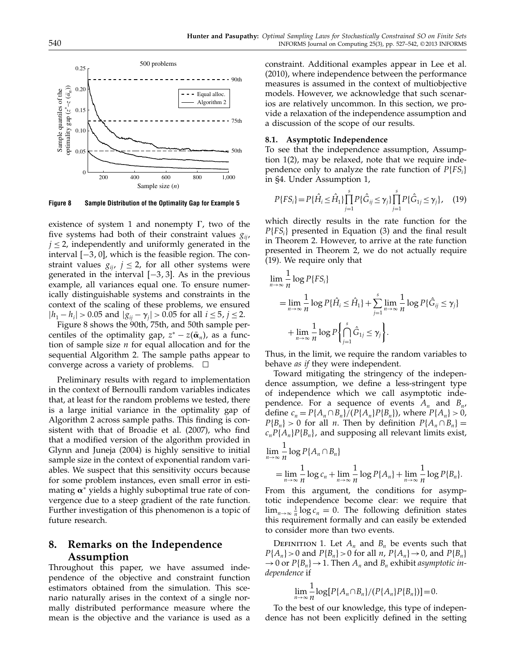

Figure 8 Sample Distribution of the Optimality Gap for Example 5

existence of system 1 and nonempty  $\Gamma$ , two of the five systems had both of their constraint values  $g_{ii}$ ,  $j \leq 2$ , independently and uniformly generated in the interval  $[-3, 0]$ , which is the feasible region. The constraint values  $g_{ii}$ ,  $j \leq 2$ , for all other systems were generated in the interval  $[-3, 3]$ . As in the previous example, all variances equal one. To ensure numerically distinguishable systems and constraints in the context of the scaling of these problems, we ensured  $|h_1 - h_i| > 0.05$  and  $|g_{ij} - \gamma_j| > 0.05$  for all  $i \le 5$ ,  $j \le 2$ .

Figure 8 shows the 90th, 75th, and 50th sample percentiles of the optimality gap,  $z^* - z(\bar{\boldsymbol{\alpha}}_n)$ , as a function of sample size  $n$  for equal allocation and for the sequential Algorithm 2. The sample paths appear to converge across a variety of problems.  $\Box$ 

Preliminary results with regard to implementation in the context of Bernoulli random variables indicates that, at least for the random problems we tested, there is a large initial variance in the optimality gap of Algorithm 2 across sample paths. This finding is consistent with that of Broadie et al. (2007), who find that a modified version of the algorithm provided in Glynn and Juneja (2004) is highly sensitive to initial sample size in the context of exponential random variables. We suspect that this sensitivity occurs because for some problem instances, even small error in estimating  $\alpha^*$  yields a highly suboptimal true rate of convergence due to a steep gradient of the rate function. Further investigation of this phenomenon is a topic of future research.

### 8. Remarks on the Independence Assumption

Throughout this paper, we have assumed independence of the objective and constraint function estimators obtained from the simulation. This scenario naturally arises in the context of a single normally distributed performance measure where the mean is the objective and the variance is used as a constraint. Additional examples appear in Lee et al. (2010), where independence between the performance measures is assumed in the context of multiobjective models. However, we acknowledge that such scenarios are relatively uncommon. In this section, we provide a relaxation of the independence assumption and a discussion of the scope of our results.

#### 8.1. Asymptotic Independence

To see that the independence assumption, Assumption 1(2), may be relaxed, note that we require independence only to analyze the rate function of  $P\{FS_i\}$ in §4. Under Assumption 1,

$$
P\{FS_i\} = P\{\hat{H}_i \le \hat{H}_1\} \prod_{j=1}^s P\{\hat{G}_{ij} \le \gamma_j\} \prod_{j=1}^s P\{\hat{G}_{1j} \le \gamma_j\}, \quad (19)
$$

which directly results in the rate function for the  $P{FS<sub>i</sub>}$  presented in Equation (3) and the final result in Theorem 2. However, to arrive at the rate function presented in Theorem 2, we do not actually require (19). We require only that

$$
\lim_{n \to \infty} \frac{1}{n} \log P\{FS_i\}
$$
\n
$$
= \lim_{n \to \infty} \frac{1}{n} \log P\{\hat{H}_i \le \hat{H}_1\} + \sum_{j=1}^s \lim_{n \to \infty} \frac{1}{n} \log P\{\hat{G}_{ij} \le \gamma_j\}
$$
\n
$$
+ \lim_{n \to \infty} \frac{1}{n} \log P\{\bigcap_{j=1}^s \hat{G}_{1j} \le \gamma_j\}.
$$

Thus, in the limit, we require the random variables to behave *as if* they were independent.

Toward mitigating the stringency of the independence assumption, we define a less-stringent type of independence which we call asymptotic independence. For a sequence of events  $A_n$  and  $B_n$ , define  $c_n = P\{A_n \cap B_n\} / (P\{A_n\} P\{B_n\})$ , where  $P\{A_n\} > 0$ ,  $P{B_n} > 0$  for all *n*. Then by definition  $P{A_n \cap B_n} =$  $c_n P\{A_n\} P\{B_n\}$ , and supposing all relevant limits exist,  $\mathbf{l}$ 1

$$
\lim_{n \to \infty} \frac{1}{n} \log P\{A_n \cap B_n\}
$$
  
= 
$$
\lim_{n \to \infty} \frac{1}{n} \log c_n + \lim_{n \to \infty} \frac{1}{n} \log P\{A_n\} + \lim_{n \to \infty} \frac{1}{n} \log P\{B_n\}.
$$

From this argument, the conditions for asymptotic independence become clear: we require that  $\lim_{n\to\infty}\frac{1}{n}\log c_n=0$ . The following definition states this requirement formally and can easily be extended to consider more than two events.

DEFINITION 1. Let  $A_n$  and  $B_n$  be events such that  $P{A_n} > 0$  and  $P{B_n} > 0$  for all *n*,  $P{A_n} \rightarrow 0$ , and  $P{B_n}$  $\rightarrow$  0 or  $P\{B_n\}$   $\rightarrow$  1. Then  $A_n$  and  $B_n$  exhibit asymptotic independence if

$$
\lim_{n\to\infty}\frac{1}{n}\log[P\{A_n\cap B_n\}/(P\{A_n\}P\{B_n\})]=0.
$$

To the best of our knowledge, this type of independence has not been explicitly defined in the setting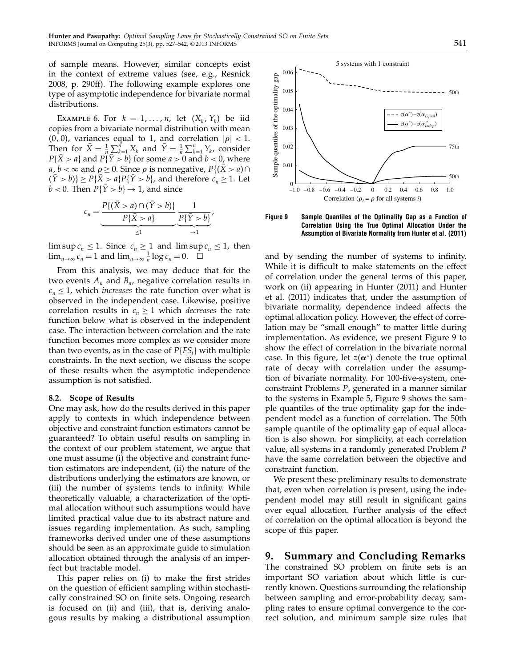of sample means. However, similar concepts exist in the context of extreme values (see, e.g., Resnick 2008, p. 290ff). The following example explores one type of asymptotic independence for bivariate normal distributions.

EXAMPLE 6. For  $k = 1, \ldots, n$ , let  $(X_k, Y_k)$  be iid copies from a bivariate normal distribution with mean  $(0, 0)$ , variances equal to 1, and correlation  $|\rho| < 1$ . Then for  $\bar{X} = \frac{1}{n} \sum_{k=1}^{n} X_k$  and  $\bar{Y} = \frac{1}{n} \sum_{k=1}^{n} Y_k$ , consider  $P{\{\bar{X} > a\}}$  and  $P{\{\bar{Y} > b\}}$  for some  $a > 0$  and  $b < 0$ , where *a*, *b* <  $\infty$  and  $\rho \ge 0$ . Since  $\rho$  is nonnegative,  $P\{(X > a) \cap \}$  $(Y > b)$ }  $\geq P\{X > a\}P\{Y > b\}$ , and therefore  $c_n \geq 1$ . Let  $b < 0$ . Then  $P\{Y > b\} \rightarrow 1$ , and since

$$
c_n = \underbrace{\frac{P\{(\bar{X} > a) \cap (\bar{Y} > b)\}}{P\{\bar{X} > a\}}}_{\leq 1} \underbrace{\frac{1}{P\{\bar{Y} > b\}}}{\frac{1}{\rightarrow 1}},
$$

 $\limsup c_n \leq 1$ . Since  $c_n \geq 1$  and  $\limsup c_n \leq 1$ , then  $\lim_{n\to\infty} c_n = 1$  and  $\lim_{n\to\infty} \frac{1}{n} \log c_n = 0.$   $\Box$ 

From this analysis, we may deduce that for the two events  $A_n$  and  $B_n$ , negative correlation results in  $c_n \leq 1$ , which *increases* the rate function over what is observed in the independent case. Likewise, positive correlation results in  $c_n \geq 1$  which *decreases* the rate function below what is observed in the independent case. The interaction between correlation and the rate function becomes more complex as we consider more than two events, as in the case of  $P\{FS_i\}$  with multiple constraints. In the next section, we discuss the scope of these results when the asymptotic independence assumption is not satisfied.

#### 8.2. Scope of Results

One may ask, how do the results derived in this paper apply to contexts in which independence between objective and constraint function estimators cannot be guaranteed? To obtain useful results on sampling in the context of our problem statement, we argue that one must assume (i) the objective and constraint function estimators are independent, (ii) the nature of the distributions underlying the estimators are known, or (iii) the number of systems tends to infinity. While theoretically valuable, a characterization of the optimal allocation without such assumptions would have limited practical value due to its abstract nature and issues regarding implementation. As such, sampling frameworks derived under one of these assumptions should be seen as an approximate guide to simulation allocation obtained through the analysis of an imperfect but tractable model.

This paper relies on (i) to make the first strides on the question of efficient sampling within stochastically constrained SO on finite sets. Ongoing research is focused on (ii) and (iii), that is, deriving analogous results by making a distributional assumption



Figure 9 Sample Quantiles of the Optimality Gap as a Function of Correlation Using the True Optimal Allocation Under the Assumption of Bivariate Normality from Hunter et al. (2011)

and by sending the number of systems to infinity. While it is difficult to make statements on the effect of correlation under the general terms of this paper, work on (ii) appearing in Hunter (2011) and Hunter et al. (2011) indicates that, under the assumption of bivariate normality, dependence indeed affects the optimal allocation policy. However, the effect of correlation may be "small enough" to matter little during implementation. As evidence, we present Figure 9 to show the effect of correlation in the bivariate normal case. In this figure, let  $z(\alpha^*)$  denote the true optimal rate of decay with correlation under the assumption of bivariate normality. For 100-five-system, oneconstraint Problems P, generated in a manner similar to the systems in Example 5, Figure 9 shows the sample quantiles of the true optimality gap for the independent model as a function of correlation. The 50th sample quantile of the optimality gap of equal allocation is also shown. For simplicity, at each correlation value, all systems in a randomly generated Problem P have the same correlation between the objective and constraint function.

We present these preliminary results to demonstrate that, even when correlation is present, using the independent model may still result in significant gains over equal allocation. Further analysis of the effect of correlation on the optimal allocation is beyond the scope of this paper.

9. Summary and Concluding Remarks The constrained SO problem on finite sets is an important SO variation about which little is currently known. Questions surrounding the relationship between sampling and error-probability decay, sampling rates to ensure optimal convergence to the correct solution, and minimum sample size rules that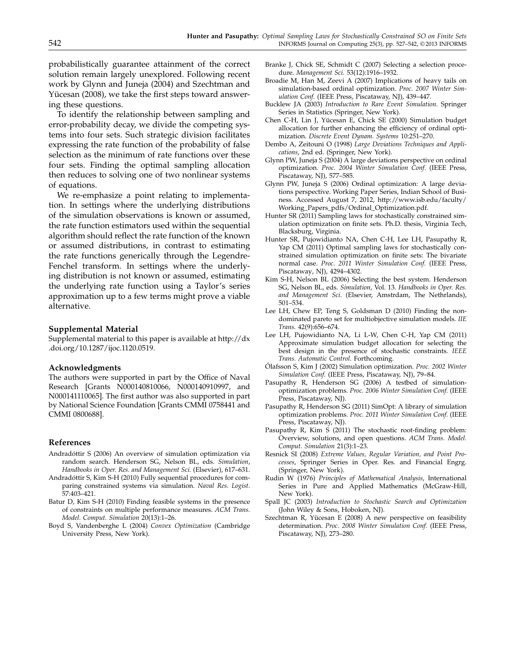probabilistically guarantee attainment of the correct solution remain largely unexplored. Following recent work by Glynn and Juneja (2004) and Szechtman and Yücesan (2008), we take the first steps toward answering these questions.

To identify the relationship between sampling and error-probability decay, we divide the competing systems into four sets. Such strategic division facilitates expressing the rate function of the probability of false selection as the minimum of rate functions over these four sets. Finding the optimal sampling allocation then reduces to solving one of two nonlinear systems of equations.

We re-emphasize a point relating to implementation. In settings where the underlying distributions of the simulation observations is known or assumed, the rate function estimators used within the sequential algorithm should reflect the rate function of the known or assumed distributions, in contrast to estimating the rate functions generically through the Legendre-Fenchel transform. In settings where the underlying distribution is not known or assumed, estimating the underlying rate function using a Taylor's series approximation up to a few terms might prove a viable alternative.

#### Supplemental Material

Supplemental material to this paper is available at http://dx .doi.org/10.1287/ijoc.1120.0519.

#### Acknowledgments

The authors were supported in part by the Office of Naval Research [Grants N000140810066, N000140910997, and N000141110065]. The first author was also supported in part by National Science Foundation [Grants CMMI 0758441 and CMMI 0800688].

#### References

- Andradóttir S (2006) An overview of simulation optimization via random search. Henderson SG, Nelson BL, eds. Simulation, Handbooks in Oper. Res. and Management Sci. (Elsevier), 617–631.
- Andradóttir S, Kim S-H (2010) Fully sequential procedures for comparing constrained systems via simulation. Naval Res. Logist. 57:403–421.
- Batur D, Kim S-H (2010) Finding feasible systems in the presence of constraints on multiple performance measures. ACM Trans. Model. Comput. Simulation 20(13):1–26.
- Boyd S, Vandenberghe L (2004) Convex Optimization (Cambridge University Press, New York).
- Branke J, Chick SE, Schmidt C (2007) Selecting a selection procedure. Management Sci. 53(12):1916–1932.
- Broadie M, Han M, Zeevi A (2007) Implications of heavy tails on simulation-based ordinal optimization. Proc. 2007 Winter Simulation Conf. (IEEE Press, Piscataway, NJ), 439–447.
- Bucklew JA (2003) Introduction to Rare Event Simulation. Springer Series in Statistics (Springer, New York).
- Chen C-H, Lin J, Yücesan E, Chick SE (2000) Simulation budget allocation for further enhancing the efficiency of ordinal optimization. Discrete Event Dynam. Systems 10:251–270.
- Dembo A, Zeitouni O (1998) Large Deviations Techniques and Applications, 2nd ed. (Springer, New York).
- Glynn PW, Juneja S (2004) A large deviations perspective on ordinal optimization. Proc. 2004 Winter Simulation Conf. (IEEE Press, Piscataway, NJ), 577–585.
- Glynn PW, Juneja S (2006) Ordinal optimization: A large deviations perspective. Working Paper Series, Indian School of Business. Accessed August 7, 2012, http://www.isb.edu/faculty/ Working\_Papers\_pdfs/Ordinal\_Optimization.pdf.
- Hunter SR (2011) Sampling laws for stochastically constrained simulation optimization on finite sets. Ph.D. thesis, Virginia Tech, Blacksburg, Virginia.
- Hunter SR, Pujowidianto NA, Chen C-H, Lee LH, Pasupathy R, Yap CM (2011) Optimal sampling laws for stochastically constrained simulation optimization on finite sets: The bivariate normal case. Proc. 2011 Winter Simulation Conf. (IEEE Press, Piscataway, NJ), 4294–4302.
- Kim S-H, Nelson BL (2006) Selecting the best system. Henderson SG, Nelson BL, eds. Simulation, Vol. 13. Handbooks in Oper. Res. and Management Sci. (Elsevier, Amstrdam, The Nethrlands), 501–534.
- Lee LH, Chew EP, Teng S, Goldsman D (2010) Finding the nondominated pareto set for multiobjective simulation models. IIE Trans. 42(9):656–674.
- Lee LH, Pujowidianto NA, Li L-W, Chen C-H, Yap CM (2011) Approximate simulation budget allocation for selecting the best design in the presence of stochastic constraints. IEEE Trans. Automatic Control. Forthcoming.
- Ólafsson S, Kim J (2002) Simulation optimization. Proc. 2002 Winter Simulation Conf. (IEEE Press, Piscataway, NJ), 79–84.
- Pasupathy R, Henderson SG (2006) A testbed of simulationoptimization problems. Proc. 2006 Winter Simulation Conf. (IEEE Press, Piscataway, NJ).
- Pasupathy R, Henderson SG (2011) SimOpt: A library of simulation optimization problems. Proc. 2011 Winter Simulation Conf. (IEEE Press, Piscataway, NJ).
- Pasupathy R, Kim S (2011) The stochastic root-finding problem: Overview, solutions, and open questions. ACM Trans. Model. Comput. Simulation 21(3):1–23.
- Resnick SI (2008) Extreme Values, Regular Variation, and Point Processes, Springer Series in Oper. Res. and Financial Engrg. (Springer, New York).
- Rudin W (1976) Principles of Mathematical Analysis, International Series in Pure and Applied Mathematics (McGraw-Hill, New York).
- Spall JC (2003) Introduction to Stochastic Search and Optimization (John Wiley & Sons, Hoboken, NJ).
- Szechtman R, Yücesan E (2008) A new perspective on feasibility determination. Proc. 2008 Winter Simulation Conf. (IEEE Press, Piscataway, NJ), 273–280.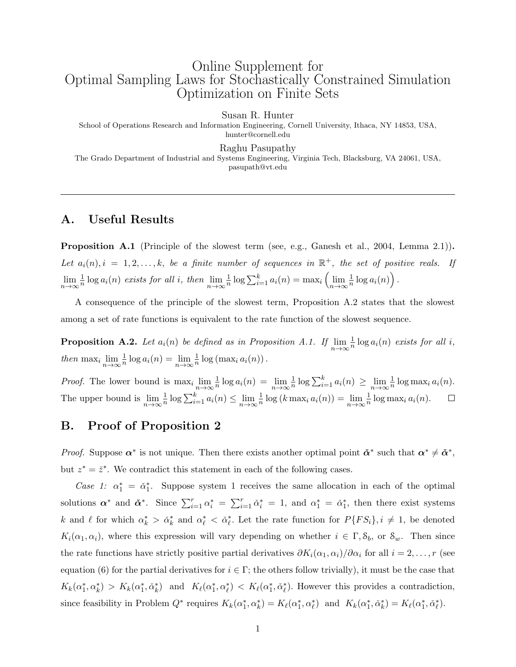# Online Supplement for Optimal Sampling Laws for Stochastically Constrained Simulation Optimization on Finite Sets

Susan R. Hunter

School of Operations Research and Information Engineering, Cornell University, Ithaca, NY 14853, USA, hunter@cornell.edu

Raghu Pasupathy

The Grado Department of Industrial and Systems Engineering, Virginia Tech, Blacksburg, VA 24061, USA, pasupath@vt.edu

### A. Useful Results

**Proposition A.1** (Principle of the slowest term (see, e.g., Ganesh et al., 2004, Lemma 2.1)). Let  $a_i(n), i = 1, 2, ..., k$ , be a finite number of sequences in  $\mathbb{R}^+$ , the set of positive reals. If  $\lim_{n\to\infty}\frac{1}{n}$  $\frac{1}{n} \log a_i(n)$  exists for all i, then  $\lim_{n \to \infty} \frac{1}{n}$  $\frac{1}{n} \log \sum_{i=1}^{k} a_i(n) = \max_i \left( \lim_{n \to \infty} \frac{1}{n} \right)$  $\frac{1}{n} \log a_i(n)$ .

A consequence of the principle of the slowest term, Proposition A.2 states that the slowest among a set of rate functions is equivalent to the rate function of the slowest sequence.

**Proposition A.2.** Let  $a_i(n)$  be defined as in Proposition A.1. If  $\lim_{n\to\infty} \frac{1}{n}$  $\frac{1}{n} \log a_i(n)$  exists for all i, then  $\max_i \lim_{n \to \infty} \frac{1}{n}$  $\frac{1}{n} \log a_i(n) = \lim_{n \to \infty} \frac{1}{n}$  $\frac{1}{n} \log \left( \max_i a_i(n) \right).$ 

*Proof.* The lower bound is  $\max_i \lim_{n \to \infty} \frac{1}{n}$  $\frac{1}{n} \log a_i(n) = \lim_{n \to \infty} \frac{1}{n}$  $\frac{1}{n} \log \sum_{i=1}^{k} a_i(n) \geq \lim_{n \to \infty} \frac{1}{n}$  $\frac{1}{n}$  log max<sub>i</sub>  $a_i(n)$ . The upper bound is  $\lim_{n\to\infty} \frac{1}{n}$  $\frac{1}{n} \log \sum_{i=1}^{k} a_i(n) \leq \lim_{n \to \infty} \frac{1}{n}$  $\frac{1}{n}$  log  $(k \max_i a_i(n)) = \lim_{n \to \infty} \frac{1}{n}$  $\frac{1}{n} \log \max_i a_i(n)$ .

### B. Proof of Proposition 2

*Proof.* Suppose  $\alpha^*$  is not unique. Then there exists another optimal point  $\tilde{\alpha}^*$  such that  $\alpha^* \neq \tilde{\alpha}^*$ , but  $z^* = \check{z}^*$ . We contradict this statement in each of the following cases.

Case 1:  $\alpha_1^* = \alpha_1^*$ . Suppose system 1 receives the same allocation in each of the optimal solutions  $\alpha^*$  and  $\tilde{\alpha}^*$ . Since  $\sum_{i=1}^r \alpha_i^* = \sum_{i=1}^r \tilde{\alpha}_i^* = 1$ , and  $\alpha_1^* = \tilde{\alpha}_1^*$ , then there exist systems k and l for which  $\alpha_k^* > \alpha_k^*$  and  $\alpha_{\ell}^* < \alpha_{\ell}^*$ . Let the rate function for  $P\{FS_i\}, i \neq 1$ , be denoted  $K_i(\alpha_1, \alpha_i)$ , where this expression will vary depending on whether  $i \in \Gamma, \mathcal{S}_b$ , or  $\mathcal{S}_w$ . Then since the rate functions have strictly positive partial derivatives  $\partial K_i(\alpha_1, \alpha_i)/\partial \alpha_i$  for all  $i = 2, \ldots, r$  (see equation (6) for the partial derivatives for  $i \in \Gamma$ ; the others follow trivially), it must be the case that  $K_k(\alpha_1^*, \alpha_k^*) > K_k(\alpha_1^*, \alpha_k^*)$  and  $K_\ell(\alpha_1^*, \alpha_\ell^*) < K_\ell(\alpha_1^*, \alpha_\ell^*)$ . However this provides a contradiction, since feasibility in Problem  $Q^*$  requires  $K_k(\alpha_1^*, \alpha_k^*) = K_\ell(\alpha_1^*, \alpha_\ell^*)$  and  $K_k(\alpha_1^*, \check{\alpha}_k^*) = K_\ell(\alpha_1^*, \check{\alpha}_\ell^*)$ .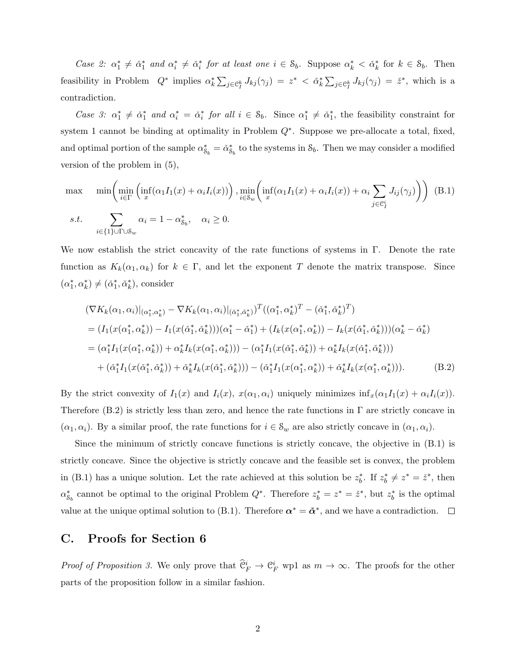Case 2:  $\alpha_1^* \neq \alpha_1^*$  and  $\alpha_i^* \neq \alpha_i^*$  for at least one  $i \in \mathcal{S}_b$ . Suppose  $\alpha_k^* < \alpha_k^*$  for  $k \in \mathcal{S}_b$ . Then feasibility in Problem  $Q^*$  implies  $\alpha_k^* \sum_{j \in \mathcal{C}_I^k} J_{kj}(\gamma_j) = z^* < \check{\alpha}_k^* \sum_{j \in \mathcal{C}_I^k} J_{kj}(\gamma_j) = \check{z}^*$ , which is a contradiction.

Case 3:  $\alpha_1^* \neq \alpha_1^*$  and  $\alpha_i^* = \alpha_i^*$  for all  $i \in \mathcal{S}_b$ . Since  $\alpha_1^* \neq \alpha_1^*$ , the feasibility constraint for system 1 cannot be binding at optimality in Problem  $Q^*$ . Suppose we pre-allocate a total, fixed, and optimal portion of the sample  $\alpha_{\delta_b}^* = \check{\alpha}_{\delta_b}^*$  to the systems in  $\delta_b$ . Then we may consider a modified version of the problem in (5),

$$
\max \min\left(\min_{i\in\Gamma}\left(\inf_x(\alpha_1I_1(x)+\alpha_iI_i(x))\right),\min_{i\in\mathcal{S}_w}\left(\inf_x(\alpha_1I_1(x)+\alpha_iI_i(x))+\alpha_i\sum_{j\in\mathcal{C}_I}J_{ij}(\gamma_j)\right)\right)
$$
(B.1)  
s.t. 
$$
\sum_{i\in\{1\}\cup\Gamma\cup\mathcal{S}_w}\alpha_i=1-\alpha_{\mathcal{S}_b}^*, \quad \alpha_i\geq 0.
$$

We now establish the strict concavity of the rate functions of systems in Γ. Denote the rate function as  $K_k(\alpha_1, \alpha_k)$  for  $k \in \Gamma$ , and let the exponent T denote the matrix transpose. Since  $(\alpha_1^*, \alpha_k^*) \neq (\check{\alpha}_1^*, \check{\alpha}_k^*)$ , consider

$$
(\nabla K_k(\alpha_1, \alpha_i)|_{(\alpha_1^*, \alpha_k^*)} - \nabla K_k(\alpha_1, \alpha_i)|_{(\tilde{\alpha}_1^*, \tilde{\alpha}_k^*)}^T ((\alpha_1^*, \alpha_k^*)^T - (\check{\alpha}_1^*, \check{\alpha}_k^*)^T)
$$
  
\n=  $(I_1(x(\alpha_1^*, \alpha_k^*)) - I_1(x(\check{\alpha}_1^*, \check{\alpha}_k^*)))(\alpha_1^* - \check{\alpha}_1^*) + (I_k(x(\alpha_1^*, \alpha_k^*)) - I_k(x(\check{\alpha}_1^*, \check{\alpha}_k^*)))(\alpha_k^* - \check{\alpha}_k^*)$   
\n=  $(\alpha_1^* I_1(x(\alpha_1^*, \alpha_k^*)) + \alpha_k^* I_k(x(\alpha_1^*, \alpha_k^*)) - (\alpha_1^* I_1(x(\check{\alpha}_1^*, \check{\alpha}_k^*)) + \alpha_k^* I_k(x(\check{\alpha}_1^*, \check{\alpha}_k^*)) )$   
\n+  $(\check{\alpha}_1^* I_1(x(\check{\alpha}_1^*, \check{\alpha}_k^*)) + \check{\alpha}_k^* I_k(x(\check{\alpha}_1^*, \check{\alpha}_k^*)) - (\check{\alpha}_1^* I_1(x(\check{\alpha}_1^*, \check{\alpha}_k^*)) + \check{\alpha}_k^* I_k(x(\check{\alpha}_1^*, \check{\alpha}_k^*))$ . (B.2)

By the strict convexity of  $I_1(x)$  and  $I_i(x)$ ,  $x(\alpha_1, \alpha_i)$  uniquely minimizes  $\inf_x(\alpha_1 I_1(x) + \alpha_i I_i(x))$ . Therefore  $(B.2)$  is strictly less than zero, and hence the rate functions in  $\Gamma$  are strictly concave in  $(\alpha_1, \alpha_i)$ . By a similar proof, the rate functions for  $i \in \mathcal{S}_w$  are also strictly concave in  $(\alpha_1, \alpha_i)$ .

Since the minimum of strictly concave functions is strictly concave, the objective in (B.1) is strictly concave. Since the objective is strictly concave and the feasible set is convex, the problem in (B.1) has a unique solution. Let the rate achieved at this solution be  $z_b^*$ . If  $z_b^* \neq z^* = \check{z}^*$ , then  $\alpha_{s_b}^*$  cannot be optimal to the original Problem  $Q^*$ . Therefore  $z_b^* = z^* = \check{z}^*$ , but  $z_b^*$  is the optimal value at the unique optimal solution to (B.1). Therefore  $\alpha^* = \check{\alpha}^*$ , and we have a contradiction.

### C. Proofs for Section 6

*Proof of Proposition 3.* We only prove that  $\hat{C}_F^i \to \hat{C}_F^i$  wp1 as  $m \to \infty$ . The proofs for the other parts of the proposition follow in a similar fashion.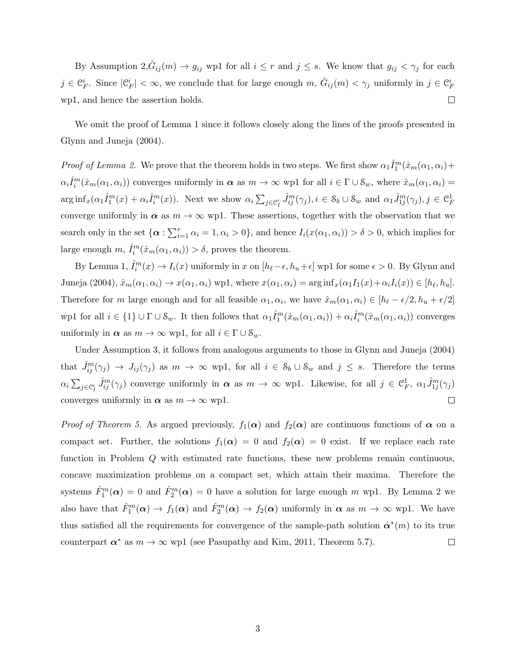By Assumption  $2, \hat{G}_{ij}(m) \to g_{ij}$  wp1 for all  $i \leq r$  and  $j \leq s$ . We know that  $g_{ij} < \gamma_j$  for each  $j \in \mathfrak{C}_F^i$ . Since  $|\mathfrak{C}_F^i| < \infty$ , we conclude that for large enough  $m$ ,  $\hat{G}_{ij}(m) < \gamma_j$  uniformly in  $j \in \mathfrak{C}_F^i$ wp1, and hence the assertion holds.  $\Box$ 

We omit the proof of Lemma 1 since it follows closely along the lines of the proofs presented in Glynn and Juneja (2004).

*Proof of Lemma 2.* We prove that the theorem holds in two steps. We first show  $\alpha_1 \hat{I}_1^m(\hat{x}_m(\alpha_1, \alpha_i) +$  $\alpha_i \hat{I}_i^m(\hat{x}_m(\alpha_1, \alpha_i))$  converges uniformly in  $\alpha$  as  $m \to \infty$  wp1 for all  $i \in \Gamma \cup \mathcal{S}_w$ , where  $\hat{x}_m(\alpha_1, \alpha_i)$  =  $\arg\inf_x(\alpha_1\hat{I}_1^m(x) + \alpha_i\hat{I}_i^m(x))$ . Next we show  $\alpha_i\sum_{j\in\mathcal{C}_I^i}\hat{J}_{ij}^m(\gamma_j), i \in \mathcal{S}_b \cup \mathcal{S}_w$  and  $\alpha_1\hat{J}_{1j}^m(\gamma_j), j \in \mathcal{C}_F^1$ converge uniformly in  $\alpha$  as  $m \to \infty$  wp1. These assertions, together with the observation that we search only in the set  $\{\boldsymbol{\alpha} : \sum_{i=1}^r \alpha_i = 1, \alpha_i > 0\}$ , and hence  $I_i(x(\alpha_1, \alpha_i)) > \delta > 0$ , which implies for large enough  $m, \hat{I}_i^m(\hat{x}_m(\alpha_1, \alpha_i)) > \delta$ , proves the theorem.

By Lemma 1,  $\hat{I}_i^m(x) \to I_i(x)$  uniformly in x on  $[h_\ell-\epsilon, h_u+\epsilon]$  wp1 for some  $\epsilon > 0$ . By Glynn and Juneja (2004),  $\hat{x}_m(\alpha_1, \alpha_i) \to x(\alpha_1, \alpha_i)$  wp1, where  $x(\alpha_1, \alpha_i) = \arg \inf_x (\alpha_1 I_1(x) + \alpha_i I_i(x)) \in [h_\ell, h_u]$ . Therefore for m large enough and for all feasible  $\alpha_1, \alpha_i$ , we have  $\hat{x}_m(\alpha_1, \alpha_i) \in [h_\ell - \epsilon/2, h_u + \epsilon/2]$ wp1 for all  $i \in \{1\} \cup \Gamma \cup \mathcal{S}_w$ . It then follows that  $\alpha_1 \hat{I}_1^m(\hat{x}_m(\alpha_1, \alpha_i)) + \alpha_i \hat{I}_i^m(\hat{x}_m(\alpha_1, \alpha_i))$  converges uniformly in  $\alpha$  as  $m \to \infty$  wp1, for all  $i \in \Gamma \cup \mathcal{S}_w$ .

Under Assumption 3, it follows from analogous arguments to those in Glynn and Juneja (2004) that  $\hat{J}_{ij}^m(\gamma_j) \to J_{ij}(\gamma_j)$  as  $m \to \infty$  wp1, for all  $i \in \mathcal{S}_b \cup \mathcal{S}_w$  and  $j \leq s$ . Therefore the terms  $\alpha_i \sum_{j \in \mathfrak{S}_I^i} \hat{J}_{ij}^m(\gamma_j)$  converge uniformly in  $\alpha$  as  $m \to \infty$  wp1. Likewise, for all  $j \in \mathfrak{C}_F^1$ ,  $\alpha_1 \hat{J}_{1j}^m(\gamma_j)$ converges uniformly in  $\alpha$  as  $m \to \infty$  wp1.  $\Box$ 

*Proof of Theorem 5.* As argued previously,  $f_1(\alpha)$  and  $f_2(\alpha)$  are continuous functions of  $\alpha$  on a compact set. Further, the solutions  $f_1(\alpha) = 0$  and  $f_2(\alpha) = 0$  exist. If we replace each rate function in Problem Q with estimated rate functions, these new problems remain continuous, concave maximization problems on a compact set, which attain their maxima. Therefore the systems  $\hat{F}_1^m(\alpha) = 0$  and  $\hat{F}_2^m(\alpha) = 0$  have a solution for large enough m wp1. By Lemma 2 we also have that  $\hat{F}_1^m(\alpha) \to f_1(\alpha)$  and  $\hat{F}_2^m(\alpha) \to f_2(\alpha)$  uniformly in  $\alpha$  as  $m \to \infty$  wp1. We have thus satisfied all the requirements for convergence of the sample-path solution  $\hat{\alpha}^*(m)$  to its true counterpart  $\alpha^*$  as  $m \to \infty$  wp1 (see Pasupathy and Kim, 2011, Theorem 5.7).  $\Box$